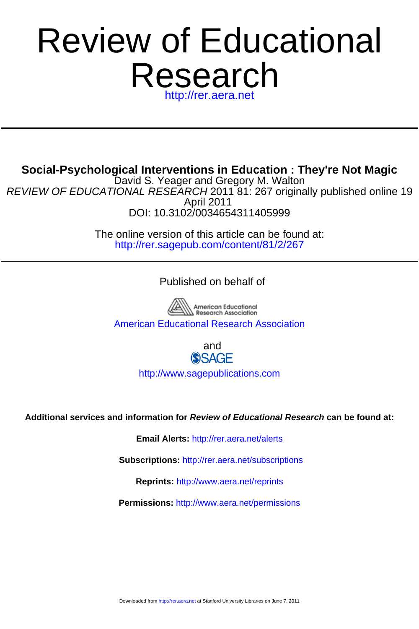# Research <http://rer.aera.net> Review of Educational

# **Social-Psychological Interventions in Education : They're Not Magic**

DOI: 10.3102/0034654311405999 April 2011 REVIEW OF EDUCATIONAL RESEARCH 2011 81: 267 originally published online 19 David S. Yeager and Gregory M. Walton

> <http://rer.sagepub.com/content/81/2/267> The online version of this article can be found at:

> > Published on behalf of





<http://www.sagepublications.com>

**Additional services and information for Review of Educational Research can be found at:**

**Email Alerts:** <http://rer.aera.net/alerts>

**Subscriptions:** <http://rer.aera.net/subscriptions>

**Reprints:** <http://www.aera.net/reprints>

**Permissions:** <http://www.aera.net/permissions>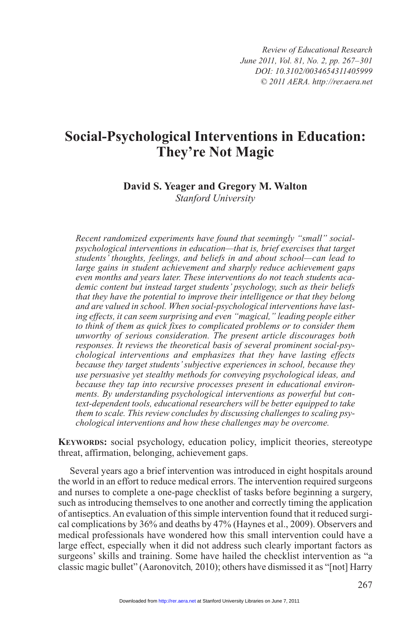*Review of Educational Research June 2011, Vol. 81, No. 2, pp. 267–301 DOI: 10.3102/0034654311405999 © 2011 AERA. http://rer.aera.net*

# **Social-Psychological Interventions in Education: They're Not Magic**

# **David S. Yeager and Gregory M. Walton**

*Stanford University*

*Recent randomized experiments have found that seemingly "small" socialpsychological interventions in education—that is, brief exercises that target students' thoughts, feelings, and beliefs in and about school—can lead to large gains in student achievement and sharply reduce achievement gaps even months and years later. These interventions do not teach students academic content but instead target students' psychology, such as their beliefs that they have the potential to improve their intelligence or that they belong and are valued in school. When social-psychological interventions have lasting effects, it can seem surprising and even "magical," leading people either to think of them as quick fixes to complicated problems or to consider them unworthy of serious consideration. The present article discourages both responses. It reviews the theoretical basis of several prominent social-psychological interventions and emphasizes that they have lasting effects because they target students' subjective experiences in school, because they use persuasive yet stealthy methods for conveying psychological ideas, and because they tap into recursive processes present in educational environments. By understanding psychological interventions as powerful but context-dependent tools, educational researchers will be better equipped to take them to scale. This review concludes by discussing challenges to scaling psychological interventions and how these challenges may be overcome.*

KEYWORDS: social psychology, education policy, implicit theories, stereotype threat, affirmation, belonging, achievement gaps.

Several years ago a brief intervention was introduced in eight hospitals around the world in an effort to reduce medical errors. The intervention required surgeons and nurses to complete a one-page checklist of tasks before beginning a surgery, such as introducing themselves to one another and correctly timing the application of antiseptics. An evaluation of this simple intervention found that it reduced surgical complications by 36% and deaths by 47% (Haynes et al., 2009). Observers and medical professionals have wondered how this small intervention could have a large effect, especially when it did not address such clearly important factors as surgeons' skills and training. Some have hailed the checklist intervention as "a classic magic bullet" (Aaronovitch*,* 2010); others have dismissed it as "[not] Harry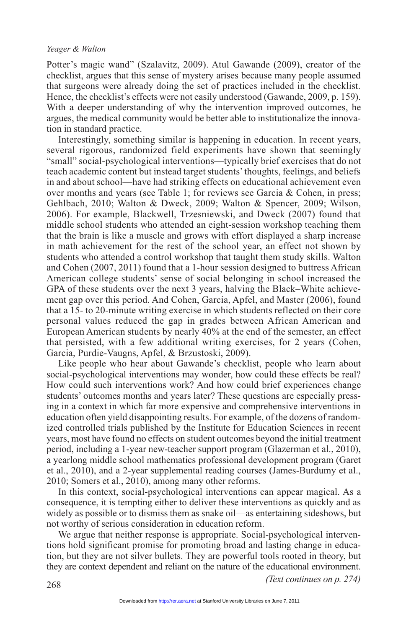Potter's magic wand" (Szalavitz, 2009). Atul Gawande (2009), creator of the checklist, argues that this sense of mystery arises because many people assumed that surgeons were already doing the set of practices included in the checklist. Hence, the checklist's effects were not easily understood (Gawande, 2009, p. 159). With a deeper understanding of why the intervention improved outcomes, he argues, the medical community would be better able to institutionalize the innovation in standard practice.

Interestingly, something similar is happening in education. In recent years, several rigorous, randomized field experiments have shown that seemingly "small" social-psychological interventions—typically brief exercises that do not teach academic content but instead target students' thoughts, feelings, and beliefs in and about school—have had striking effects on educational achievement even over months and years (see Table 1; for reviews see Garcia & Cohen, in press; Gehlbach, 2010; Walton & Dweck, 2009; Walton & Spencer, 2009; Wilson, 2006). For example, Blackwell, Trzesniewski, and Dweck (2007) found that middle school students who attended an eight-session workshop teaching them that the brain is like a muscle and grows with effort displayed a sharp increase in math achievement for the rest of the school year, an effect not shown by students who attended a control workshop that taught them study skills. Walton and Cohen (2007, 2011) found that a 1-hour session designed to buttress African American college students' sense of social belonging in school increased the GPA of these students over the next 3 years, halving the Black–White achievement gap over this period. And Cohen, Garcia, Apfel, and Master (2006), found that a 15- to 20-minute writing exercise in which students reflected on their core personal values reduced the gap in grades between African American and European American students by nearly 40% at the end of the semester, an effect that persisted, with a few additional writing exercises, for 2 years (Cohen, Garcia, Purdie-Vaugns, Apfel, & Brzustoski, 2009).

Like people who hear about Gawande's checklist, people who learn about social-psychological interventions may wonder, how could these effects be real? How could such interventions work? And how could brief experiences change students' outcomes months and years later? These questions are especially pressing in a context in which far more expensive and comprehensive interventions in education often yield disappointing results. For example, of the dozens of randomized controlled trials published by the Institute for Education Sciences in recent years, most have found no effects on student outcomes beyond the initial treatment period, including a 1-year new-teacher support program (Glazerman et al., 2010), a yearlong middle school mathematics professional development program (Garet et al., 2010), and a 2-year supplemental reading courses (James-Burdumy et al., 2010; Somers et al., 2010), among many other reforms.

In this context, social-psychological interventions can appear magical. As a consequence, it is tempting either to deliver these interventions as quickly and as widely as possible or to dismiss them as snake oil—as entertaining sideshows, but not worthy of serious consideration in education reform.

We argue that neither response is appropriate. Social-psychological interventions hold significant promise for promoting broad and lasting change in education, but they are not silver bullets. They are powerful tools rooted in theory, but they are context dependent and reliant on the nature of the educational environment.

*(Text continues on p. 274)*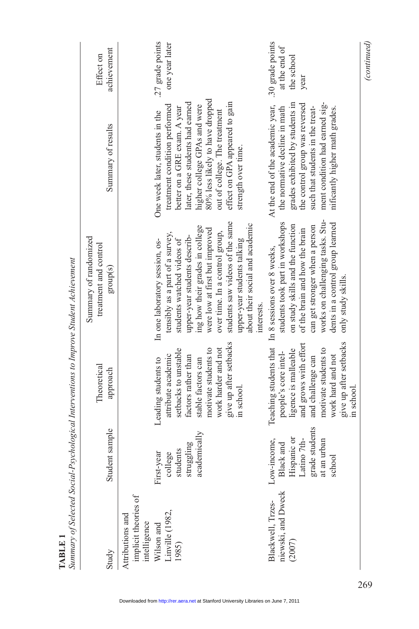|                                                                                                    |                                                                                                   | Summary of Selected Social-Psychological Interventions to Improve Student Achievement                                                                                                   |                                                                                                                                                                                                                                                                                                                                                                             |                                                                                                                                                                                                                                                                            |                                                         |
|----------------------------------------------------------------------------------------------------|---------------------------------------------------------------------------------------------------|-----------------------------------------------------------------------------------------------------------------------------------------------------------------------------------------|-----------------------------------------------------------------------------------------------------------------------------------------------------------------------------------------------------------------------------------------------------------------------------------------------------------------------------------------------------------------------------|----------------------------------------------------------------------------------------------------------------------------------------------------------------------------------------------------------------------------------------------------------------------------|---------------------------------------------------------|
| Study                                                                                              | Student sample                                                                                    | Theoretical<br>approach                                                                                                                                                                 | Summary of randomized<br>treatment and control<br>group(s)                                                                                                                                                                                                                                                                                                                  | Summary of results                                                                                                                                                                                                                                                         | achievement<br>Effect on                                |
| implicit theories of<br>intelligence<br>Wilson and<br>Linville (1982,<br>1985)<br>Attributions and | academically<br>struggling<br>students<br>First-year<br>college                                   | give up after setbacks<br>work harder and not<br>motivate students to<br>setbacks to unstable<br>attribute academic<br>factors rather than<br>stable factors can<br>Leading students to | students saw videos of the same<br>ing how their grades in college<br>were low at first but improved<br>over time. In a control group,<br>tensibly as a part of a survey,<br>upper-year students describ-<br>students watched videos of<br>In one laboratory session, os-                                                                                                   | 80% less likely to have dropped<br>effect on GPA appeared to gain<br>later, these students had earned<br>treatment condition performed<br>higher college GPAs and were<br>better on a GRE exam. A year<br>One week later, students in the<br>out of college. The treatment | .27 grade points<br>one year later                      |
| niewski, and Dweck<br>(2007)<br>Blackwell, Trzes-                                                  | grade students<br>Hispanic or<br>Latino 7th-<br>Low-income,<br>at an urban<br>Black and<br>school | give up after setbacks<br>and grows with effort<br>motivate students to<br>ligence is malleable<br>people's core intel-<br>work hard and not<br>and challenge can<br>in school.         | works on challenging tasks. Stu-<br>students took part in workshops<br>dents in a control group learned<br>about their social and academic<br>on study skills and the function<br>can get stronger when a person<br>of the brain and how the brain<br>upper-year students talking<br>Teaching students that In 8 sessions over 8 weeks,<br>only study skills.<br>interests. | grades exhibited by students in<br>ment condition had earned sig-<br>the control group was reversed<br>At the end of the academic year,<br>such that students in the treat-<br>the normative decline in math<br>nificantly higher math grades.<br>strength over time.      | .30 grade points<br>at the end of<br>the school<br>year |
|                                                                                                    |                                                                                                   | in school.                                                                                                                                                                              |                                                                                                                                                                                                                                                                                                                                                                             |                                                                                                                                                                                                                                                                            | (continued)                                             |

 $\overline{A}$ . E, J.  $\ddot{\phantom{0}}$ ΙL.  $\ddot{\phantom{0}}$ , l, Á ŀ, l,  $\overline{c}$  $rc_{1}$ 

**Tabl e 1**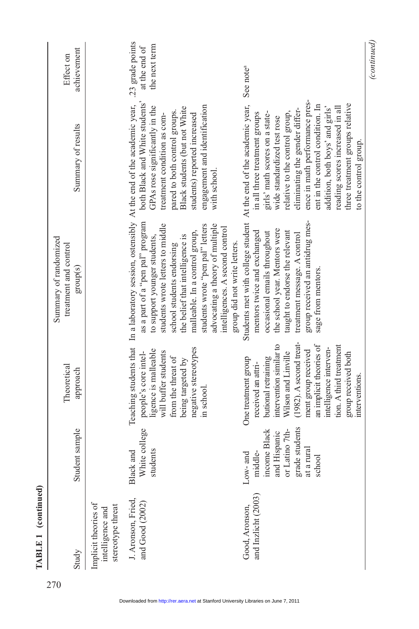| TABLE 1 (continued)                                           |                                                                                                                  |                                                                                                                                                                                                                                                                                                  |                                                                                                                                                                                                                                                                                                                                                                                                                                                 |                                                                                                                                                                                                                                                                                                                                                                            |                                                    |
|---------------------------------------------------------------|------------------------------------------------------------------------------------------------------------------|--------------------------------------------------------------------------------------------------------------------------------------------------------------------------------------------------------------------------------------------------------------------------------------------------|-------------------------------------------------------------------------------------------------------------------------------------------------------------------------------------------------------------------------------------------------------------------------------------------------------------------------------------------------------------------------------------------------------------------------------------------------|----------------------------------------------------------------------------------------------------------------------------------------------------------------------------------------------------------------------------------------------------------------------------------------------------------------------------------------------------------------------------|----------------------------------------------------|
| Study                                                         | Student sample                                                                                                   | Theoretical<br>approach                                                                                                                                                                                                                                                                          | Summary of randomized<br>treatment and control<br>group(s)                                                                                                                                                                                                                                                                                                                                                                                      | Summary of results                                                                                                                                                                                                                                                                                                                                                         | achievement<br>Effect on                           |
| Implicit theories of<br>stereotype threat<br>intelligence and |                                                                                                                  |                                                                                                                                                                                                                                                                                                  |                                                                                                                                                                                                                                                                                                                                                                                                                                                 |                                                                                                                                                                                                                                                                                                                                                                            |                                                    |
| J. Aronson, Fried,<br>and Good (2002)                         | White college<br>students<br>Black and                                                                           | negative stereotypes<br>ligence is malleable<br>people's core intel-<br>will buffer students<br>from the threat of<br>being targeted by<br>in school.                                                                                                                                            | Teaching students that In a laboratory session, ostensibly At the end of the academic year,<br>as a part of a "pen pal" program<br>students wrote letters to middle<br>students wrote "pen pal" letters<br>advocating a theory of multiple<br>intelligences. A second control<br>malleable. In a control group,<br>the belief that intelligence is<br>to support younger students,<br>group did not write letters.<br>school students endorsing | both Black and White students'<br>engagement and identification<br>GPAs rose significantly in the<br>Black students (but not White<br>pared to both control groups.<br>treatment condition as com-<br>students) reported increased<br>with school.                                                                                                                         | .23 grade points<br>the next term<br>at the end of |
| and Inzlicht (2003)<br>Good, Aronson,                         | grade students<br>ncome Black<br>or Latino 7th-<br>and Hispanic<br>at a rural<br>niddle-<br>$Low-$ and<br>school | $(1982)$ . A second treat-<br>intervention similar to<br>an implicit theories of<br>tion. A third treatment<br>intelligence interven-<br>ment group received<br>Wilson and Linville<br>group received both<br>butional retraining<br>One treatment group<br>received an attri-<br>interventions. | Students met with college student At the end of the academic year,<br>group received an antidrug mes-<br>the school year. Mentors were<br>mentors twice and exchanged<br>taught to endorse the relevant<br>occasional emails throughout<br>treatment message. A control<br>sage from mentors.                                                                                                                                                   | ence in math performance pres-<br>three treatment groups relative<br>ent in the control condition. In<br>reading scores increased in all<br>addition, both boys' and girls'<br>eliminating the gender differ-<br>girls' math scores on a state-<br>in all three treatment groups<br>relative to the control group,<br>wide standardized test rose<br>to the control group. | See note <sup>a</sup>                              |
|                                                               |                                                                                                                  |                                                                                                                                                                                                                                                                                                  |                                                                                                                                                                                                                                                                                                                                                                                                                                                 |                                                                                                                                                                                                                                                                                                                                                                            | (continued)                                        |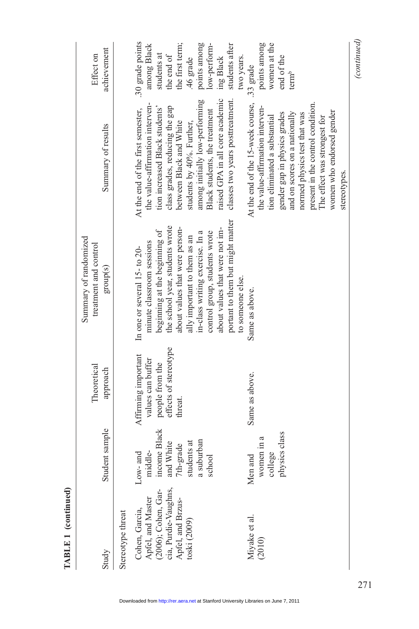| <b>FABLE 1 (continued)</b>                                                                                                                     |                         |                                      |                                                            |                                                                   |                            |
|------------------------------------------------------------------------------------------------------------------------------------------------|-------------------------|--------------------------------------|------------------------------------------------------------|-------------------------------------------------------------------|----------------------------|
| Study                                                                                                                                          | Student sample          | Theoretical<br>approach              | Summary of randomized<br>treatment and control<br>group(s) | Summary of results                                                | achievement<br>Effect on   |
| Stereotype threat                                                                                                                              |                         |                                      |                                                            |                                                                   |                            |
|                                                                                                                                                | $Low-$ and              | Affirming important                  | In one or several 15- to 20-                               | At the end of the first semester,                                 | .30 grade points           |
| Cohen, Garcia,<br>Apfel, and Master<br>(2006); Cohen, Gar-<br>(2006); Cohen, Gar-<br>cia, Purdie-Vaughns,<br>Apfel, and Brzus-<br>toski (2009) | income Black<br>middle- | values can buffer<br>people from the | beginning at the beginning of<br>minute classroom sessions | the value-affirmation interven-<br>tion increased Black students' | among Black<br>students at |
|                                                                                                                                                | and White               | effects of stereotype                | the school year, students wrote                            | class grades, reducing the gap                                    | the end of                 |
|                                                                                                                                                | 7th-grade               | threat.                              | about values that were person-                             | between Black and White                                           | the first term;            |
|                                                                                                                                                | students at             |                                      | ally important to them as an                               | students by 40%. Further,                                         | .46 grade                  |
|                                                                                                                                                | a suburban              |                                      | in-class writing exercise. In a                            | among initially low-performing                                    | points among               |
|                                                                                                                                                | school                  |                                      | control group, students wrote                              | Black students, the treatment                                     | low-perform-               |
|                                                                                                                                                |                         |                                      | about values that were not im-                             | raised GPA in all core academic                                   | ing Black                  |
|                                                                                                                                                |                         |                                      | portant to them but might matter                           | classes two years posttreatment.                                  | students after             |
|                                                                                                                                                |                         |                                      | to someone else.                                           |                                                                   | two years.                 |
|                                                                                                                                                | Men and                 | Same as above.                       | Same as above.                                             | At the end of the 15-week course, .33 grade                       |                            |
| Miyake et al.<br>(2010)                                                                                                                        | women in a              |                                      |                                                            | the value-affirmation interven-                                   | points among               |
|                                                                                                                                                | college                 |                                      |                                                            | tion eliminated a substantial                                     | women at the               |
|                                                                                                                                                | physics class           |                                      |                                                            | gender gap in physics grades                                      | end of the                 |
|                                                                                                                                                |                         |                                      |                                                            | and on scores on a nationally                                     | term <sup>b</sup>          |
|                                                                                                                                                |                         |                                      |                                                            | normed physics test that was                                      |                            |
|                                                                                                                                                |                         |                                      |                                                            | present in the control condition                                  |                            |
|                                                                                                                                                |                         |                                      |                                                            | The effect was strongest for                                      |                            |
|                                                                                                                                                |                         |                                      |                                                            | women who endorsed gender                                         |                            |
|                                                                                                                                                |                         |                                      |                                                            | stereotypes.                                                      |                            |

*(continued)*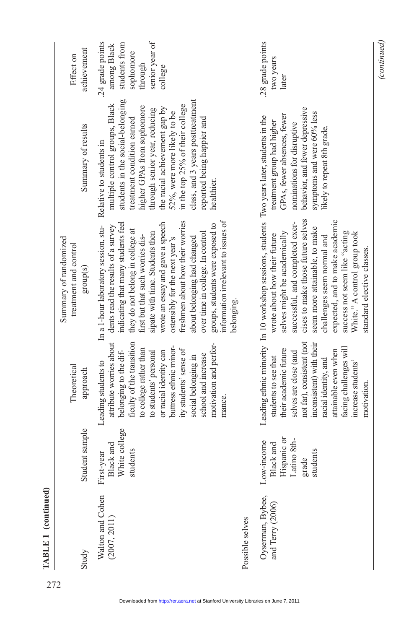| [ABLE 1 (continued)                  |                                                                            |                                                                                                                                                                                                                                                                                                                         |                                                                                                                                                                                                                                                                                                                                                                                                                                                                                                   |                                                                                                                                                                                                                                                                                                                                                                               |                                                                                                       |
|--------------------------------------|----------------------------------------------------------------------------|-------------------------------------------------------------------------------------------------------------------------------------------------------------------------------------------------------------------------------------------------------------------------------------------------------------------------|---------------------------------------------------------------------------------------------------------------------------------------------------------------------------------------------------------------------------------------------------------------------------------------------------------------------------------------------------------------------------------------------------------------------------------------------------------------------------------------------------|-------------------------------------------------------------------------------------------------------------------------------------------------------------------------------------------------------------------------------------------------------------------------------------------------------------------------------------------------------------------------------|-------------------------------------------------------------------------------------------------------|
| Study                                | tudent sample<br>ÖΩ                                                        | Theoretical<br>approach                                                                                                                                                                                                                                                                                                 | Summary of randomized<br>treatment and control<br>group(s)                                                                                                                                                                                                                                                                                                                                                                                                                                        | Summary of results                                                                                                                                                                                                                                                                                                                                                            | achievement<br>Effect on                                                                              |
| Walton and Cohen<br>(2007, 2011)     | White college<br>Black and<br>students<br>First-year                       | attribute worries about<br>ficulty of the transition<br>motivation and perfor-<br>buttress ethnic minor-<br>to college rather than<br>ity students' sense of<br>belonging to the dif-<br>or racial identity can<br>to students' personal<br>school and increase<br>social belonging in<br>Leading students to<br>mance. | freshmen about how their worries<br>information irrelevant to issues of<br>wrote an essay and gave a speech<br>indicating that many students feel<br>groups, students were exposed to<br>In a 1-hour laboratory session, stu-<br>dents read the results of a survey<br>they do not belong in college at<br>over time in college. In control<br>sipate with time. Students then<br>first but that such worries dis-<br>about belonging had changed<br>ostensibly for the next year's<br>belonging. | students in the social-belonging<br>class, and 3 years posttreatment<br>multiple control groups, Black<br>in the top 25% of their college<br>higher GPAs from sophomore<br>the racial achievement gap by<br>through senior year, reducing<br>52%, were more likely to be<br>treatment condition earned<br>reported being happier and<br>Relative to students in<br>healthier. | senior year of<br>.24 grade points<br>among Black<br>students from<br>sophomore<br>through<br>college |
| Possible selves                      |                                                                            |                                                                                                                                                                                                                                                                                                                         |                                                                                                                                                                                                                                                                                                                                                                                                                                                                                                   |                                                                                                                                                                                                                                                                                                                                                                               |                                                                                                       |
| Oyserman, Bybee,<br>and Terry (2006) | Hispanic or<br>Latino 8th-<br>Low-income<br>Black and<br>students<br>grade | not far), consistent (not<br>inconsistent) with their<br>facing challenges will<br>their academic future<br>attainable even when<br>selves are close (and<br>students to see that<br>racial identity, and<br>increase students'<br>motivation.                                                                          | Leading ethnic minority In 10 workshop sessions, students Two years later, students in the<br>cises to make those future selves<br>expected, and to make academic<br>successful, and completed exer-<br>seem more attainable, to make<br>selves might be academically<br>success not seem like "acting<br>White." A control group took<br>wrote about how their future<br>challenges seem normal and<br>standard elective classes.                                                                | behavior, and fewer depressive<br>symptoms and were 60% less<br>GPAs, fewer absences, fewer<br>treatment group had higher<br>nominations for disruptive<br>likely to repeat 8th grade.                                                                                                                                                                                        | .28 grade points<br>two years<br>later                                                                |
|                                      |                                                                            |                                                                                                                                                                                                                                                                                                                         |                                                                                                                                                                                                                                                                                                                                                                                                                                                                                                   |                                                                                                                                                                                                                                                                                                                                                                               |                                                                                                       |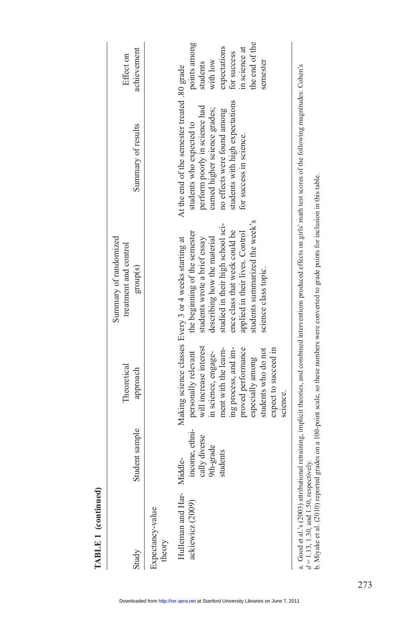| Study                                        | Student sample                                           | Theoretical<br>approach                                                                                                                                                                                                   | Summary of randomized<br>treatment and control<br>group(s)                                                                                                                                                                                                                                                               | Summary of results                                                                                                                                                                                                                      | achievement<br>Effect on                                                                                           |
|----------------------------------------------|----------------------------------------------------------|---------------------------------------------------------------------------------------------------------------------------------------------------------------------------------------------------------------------------|--------------------------------------------------------------------------------------------------------------------------------------------------------------------------------------------------------------------------------------------------------------------------------------------------------------------------|-----------------------------------------------------------------------------------------------------------------------------------------------------------------------------------------------------------------------------------------|--------------------------------------------------------------------------------------------------------------------|
| Expectancy-value<br>theory                   |                                                          |                                                                                                                                                                                                                           |                                                                                                                                                                                                                                                                                                                          |                                                                                                                                                                                                                                         |                                                                                                                    |
| Hulleman and Har-Middle-<br>ackiewicz (2009) | income, ethni-<br>cally diverse<br>9th-grade<br>students | will increase interest<br>ing process, and im-<br>proved performance<br>ment with the learn-<br>students who do not<br>expect to succeed in<br>personally relevant<br>in science, engage-<br>especially among<br>science. | students summarized the week's<br>studied in their high school sci-<br>ence class that week could be<br>the beginning of the semester<br>applied in their lives. Control<br>Making science classes Every 3 or 4 weeks starting at<br>students wrote a brief essay<br>describing how the material<br>science class topic. | At the end of the semester treated .80 grade<br>students with high expectations<br>perform poorly in science had<br>earned higher science grades;<br>no effects were found among<br>students who expected to<br>for success in science. | points among<br>the end of the<br>expectations<br>in science at<br>for success<br>with low<br>students<br>semester |
|                                              |                                                          |                                                                                                                                                                                                                           | $d = 1.13, 1.30,$ and 1.50, respectively.<br>b. Miyake et al. (2010) reported grades on a 100-point scale, so these numbers were converted to grade points for inclusion in this table.                                                                                                                                  | a. Good et al.'s (2003) attributional retraining, implicit theories, and combined interventions produced effects on girls' math test scores of the following magnitudes: Cohen's                                                        |                                                                                                                    |

**TABLE 1** (continued) **e 1 (continued)**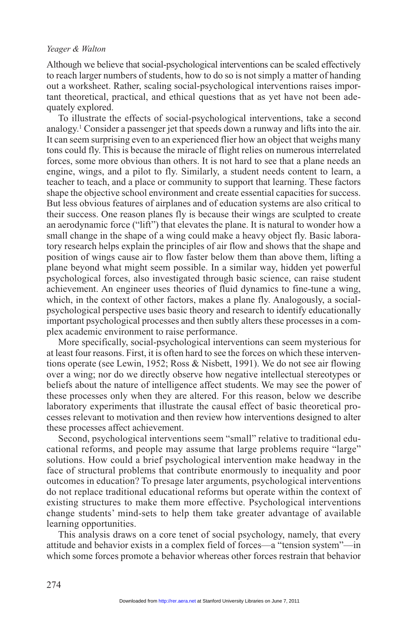Although we believe that social-psychological interventions can be scaled effectively to reach larger numbers of students, how to do so is not simply a matter of handing out a worksheet. Rather, scaling social-psychological interventions raises important theoretical, practical, and ethical questions that as yet have not been adequately explored.

To illustrate the effects of social-psychological interventions, take a second analogy.1 Consider a passenger jet that speeds down a runway and lifts into the air. It can seem surprising even to an experienced flier how an object that weighs many tons could fly. This is because the miracle of flight relies on numerous interrelated forces, some more obvious than others. It is not hard to see that a plane needs an engine, wings, and a pilot to fly. Similarly, a student needs content to learn, a teacher to teach, and a place or community to support that learning. These factors shape the objective school environment and create essential capacities for success. But less obvious features of airplanes and of education systems are also critical to their success. One reason planes fly is because their wings are sculpted to create an aerodynamic force ("lift") that elevates the plane. It is natural to wonder how a small change in the shape of a wing could make a heavy object fly. Basic laboratory research helps explain the principles of air flow and shows that the shape and position of wings cause air to flow faster below them than above them, lifting a plane beyond what might seem possible. In a similar way, hidden yet powerful psychological forces, also investigated through basic science, can raise student achievement. An engineer uses theories of fluid dynamics to fine-tune a wing, which, in the context of other factors, makes a plane fly. Analogously, a socialpsychological perspective uses basic theory and research to identify educationally important psychological processes and then subtly alters these processes in a complex academic environment to raise performance.

More specifically, social-psychological interventions can seem mysterious for at least four reasons. First, it is often hard to see the forces on which these interventions operate (see Lewin, 1952; Ross & Nisbett, 1991). We do not see air flowing over a wing; nor do we directly observe how negative intellectual stereotypes or beliefs about the nature of intelligence affect students. We may see the power of these processes only when they are altered. For this reason, below we describe laboratory experiments that illustrate the causal effect of basic theoretical processes relevant to motivation and then review how interventions designed to alter these processes affect achievement.

Second, psychological interventions seem "small" relative to traditional educational reforms, and people may assume that large problems require "large" solutions. How could a brief psychological intervention make headway in the face of structural problems that contribute enormously to inequality and poor outcomes in education? To presage later arguments, psychological interventions do not replace traditional educational reforms but operate within the context of existing structures to make them more effective. Psychological interventions change students' mind-sets to help them take greater advantage of available learning opportunities.

This analysis draws on a core tenet of social psychology, namely, that every attitude and behavior exists in a complex field of forces—a "tension system"—in which some forces promote a behavior whereas other forces restrain that behavior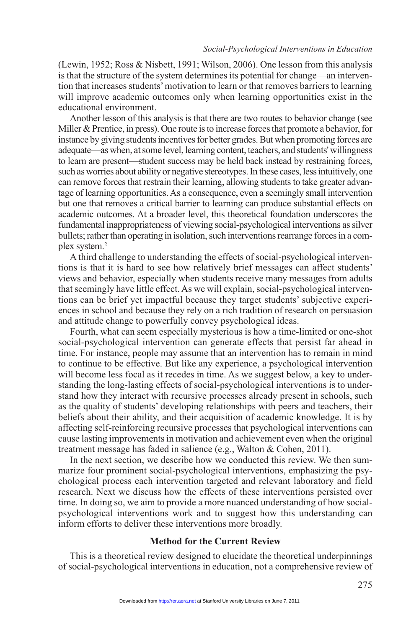(Lewin, 1952; Ross & Nisbett, 1991; Wilson, 2006). One lesson from this analysis is that the structure of the system determines its potential for change—an intervention that increases students' motivation to learn or that removes barriers to learning will improve academic outcomes only when learning opportunities exist in the educational environment.

Another lesson of this analysis is that there are two routes to behavior change (see Miller & Prentice, in press). One route is to increase forces that promote a behavior, for instance by giving students incentives for better grades. But when promoting forces are adequate—as when, at some level, learning content, teachers, and students' willingness to learn are present—student success may be held back instead by restraining forces, such as worries about ability or negative stereotypes. In these cases, less intuitively, one can remove forces that restrain their learning, allowing students to take greater advantage of learning opportunities. As a consequence, even a seemingly small intervention but one that removes a critical barrier to learning can produce substantial effects on academic outcomes. At a broader level, this theoretical foundation underscores the fundamental inappropriateness of viewing social-psychological interventions as silver bullets; rather than operating in isolation, such interventions rearrange forces in a complex system.2

A third challenge to understanding the effects of social-psychological interventions is that it is hard to see how relatively brief messages can affect students' views and behavior, especially when students receive many messages from adults that seemingly have little effect. As we will explain, social-psychological interventions can be brief yet impactful because they target students' subjective experiences in school and because they rely on a rich tradition of research on persuasion and attitude change to powerfully convey psychological ideas.

Fourth, what can seem especially mysterious is how a time-limited or one-shot social-psychological intervention can generate effects that persist far ahead in time. For instance, people may assume that an intervention has to remain in mind to continue to be effective. But like any experience, a psychological intervention will become less focal as it recedes in time. As we suggest below, a key to understanding the long-lasting effects of social-psychological interventions is to understand how they interact with recursive processes already present in schools, such as the quality of students' developing relationships with peers and teachers, their beliefs about their ability, and their acquisition of academic knowledge. It is by affecting self-reinforcing recursive processes that psychological interventions can cause lasting improvements in motivation and achievement even when the original treatment message has faded in salience (e.g., Walton & Cohen, 2011).

In the next section, we describe how we conducted this review. We then summarize four prominent social-psychological interventions, emphasizing the psychological process each intervention targeted and relevant laboratory and field research. Next we discuss how the effects of these interventions persisted over time. In doing so, we aim to provide a more nuanced understanding of how socialpsychological interventions work and to suggest how this understanding can inform efforts to deliver these interventions more broadly.

# **Method for the Current Review**

This is a theoretical review designed to elucidate the theoretical underpinnings of social-psychological interventions in education, not a comprehensive review of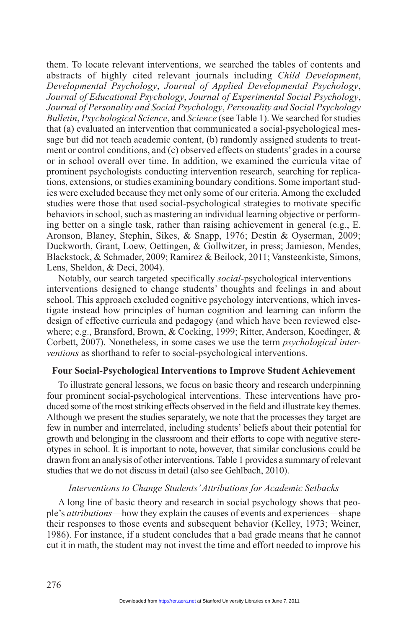them. To locate relevant interventions, we searched the tables of contents and abstracts of highly cited relevant journals including *Child Development*, *Developmental Psychology*, *Journal of Applied Developmental Psychology*, *Journal of Educational Psychology*, *Journal of Experimental Social Psychology*, *Journal of Personality and Social Psychology*, *Personality and Social Psychology Bulletin*, *Psychological Science*, and *Science* (see Table 1). We searched for studies that (a) evaluated an intervention that communicated a social-psychological message but did not teach academic content, (b) randomly assigned students to treatment or control conditions, and (c) observed effects on students' grades in a course or in school overall over time. In addition, we examined the curricula vitae of prominent psychologists conducting intervention research, searching for replications, extensions, or studies examining boundary conditions. Some important studies were excluded because they met only some of our criteria. Among the excluded studies were those that used social-psychological strategies to motivate specific behaviors in school, such as mastering an individual learning objective or performing better on a single task, rather than raising achievement in general (e.g., E. Aronson, Blaney, Stephin, Sikes, & Snapp, 1976; Destin & Oyserman, 2009; Duckworth, Grant, Loew, Oettingen, & Gollwitzer, in press; Jamieson, Mendes, Blackstock, & Schmader, 2009; Ramirez & Beilock, 2011; Vansteenkiste, Simons, Lens, Sheldon, & Deci, 2004).

Notably, our search targeted specifically *social*-psychological interventions interventions designed to change students' thoughts and feelings in and about school. This approach excluded cognitive psychology interventions, which investigate instead how principles of human cognition and learning can inform the design of effective curricula and pedagogy (and which have been reviewed elsewhere; e.g., Bransford, Brown, & Cocking, 1999; Ritter, Anderson, Koedinger, & Corbett, 2007). Nonetheless, in some cases we use the term *psychological interventions* as shorthand to refer to social-psychological interventions.

#### **Four Social-Psychological Interventions to Improve Student Achievement**

To illustrate general lessons, we focus on basic theory and research underpinning four prominent social-psychological interventions. These interventions have produced some of the most striking effects observed in the field and illustrate key themes. Although we present the studies separately, we note that the processes they target are few in number and interrelated, including students' beliefs about their potential for growth and belonging in the classroom and their efforts to cope with negative stereotypes in school. It is important to note, however, that similar conclusions could be drawn from an analysis of other interventions. Table 1 provides a summary of relevant studies that we do not discuss in detail (also see Gehlbach, 2010).

#### *Interventions to Change Students' Attributions for Academic Setbacks*

A long line of basic theory and research in social psychology shows that people's *attributions*—how they explain the causes of events and experiences—shape their responses to those events and subsequent behavior (Kelley, 1973; Weiner, 1986). For instance, if a student concludes that a bad grade means that he cannot cut it in math, the student may not invest the time and effort needed to improve his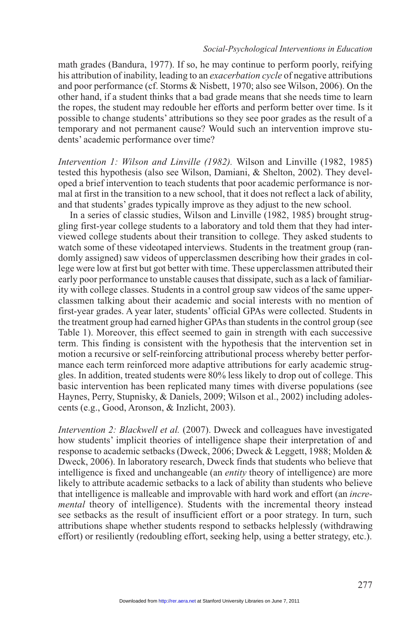#### *Social-Psychological Interventions in Education*

math grades (Bandura, 1977). If so, he may continue to perform poorly, reifying his attribution of inability, leading to an *exacerbation cycle* of negative attributions and poor performance (cf. Storms & Nisbett, 1970; also see Wilson, 2006). On the other hand, if a student thinks that a bad grade means that she needs time to learn the ropes, the student may redouble her efforts and perform better over time. Is it possible to change students' attributions so they see poor grades as the result of a temporary and not permanent cause? Would such an intervention improve students' academic performance over time?

*Intervention 1: Wilson and Linville (1982).* Wilson and Linville (1982, 1985) tested this hypothesis (also see Wilson, Damiani, & Shelton, 2002). They developed a brief intervention to teach students that poor academic performance is normal at first in the transition to a new school, that it does not reflect a lack of ability, and that students' grades typically improve as they adjust to the new school.

In a series of classic studies, Wilson and Linville (1982, 1985) brought struggling first-year college students to a laboratory and told them that they had interviewed college students about their transition to college. They asked students to watch some of these videotaped interviews. Students in the treatment group (randomly assigned) saw videos of upperclassmen describing how their grades in college were low at first but got better with time. These upperclassmen attributed their early poor performance to unstable causes that dissipate, such as a lack of familiarity with college classes. Students in a control group saw videos of the same upperclassmen talking about their academic and social interests with no mention of first-year grades. A year later, students' official GPAs were collected. Students in the treatment group had earned higher GPAs than students in the control group (see Table 1). Moreover, this effect seemed to gain in strength with each successive term. This finding is consistent with the hypothesis that the intervention set in motion a recursive or self-reinforcing attributional process whereby better performance each term reinforced more adaptive attributions for early academic struggles. In addition, treated students were 80% less likely to drop out of college. This basic intervention has been replicated many times with diverse populations (see Haynes, Perry, Stupnisky, & Daniels, 2009; Wilson et al., 2002) including adolescents (e.g., Good, Aronson, & Inzlicht, 2003).

*Intervention 2: Blackwell et al.* (2007). Dweck and colleagues have investigated how students' implicit theories of intelligence shape their interpretation of and response to academic setbacks (Dweck, 2006; Dweck & Leggett, 1988; Molden & Dweck, 2006). In laboratory research, Dweck finds that students who believe that intelligence is fixed and unchangeable (an *entity* theory of intelligence) are more likely to attribute academic setbacks to a lack of ability than students who believe that intelligence is malleable and improvable with hard work and effort (an *incremental* theory of intelligence). Students with the incremental theory instead see setbacks as the result of insufficient effort or a poor strategy. In turn, such attributions shape whether students respond to setbacks helplessly (withdrawing effort) or resiliently (redoubling effort, seeking help, using a better strategy, etc.).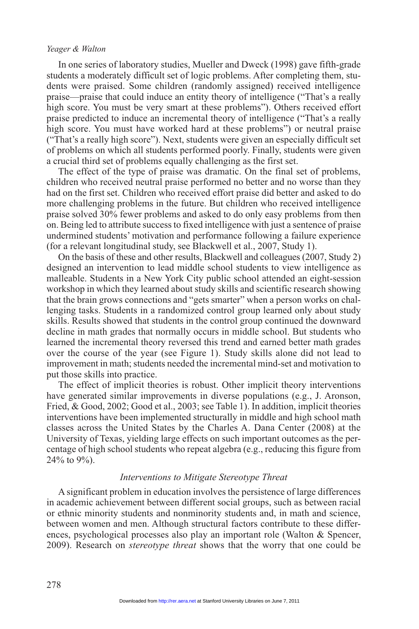In one series of laboratory studies, Mueller and Dweck (1998) gave fifth-grade students a moderately difficult set of logic problems. After completing them, students were praised. Some children (randomly assigned) received intelligence praise—praise that could induce an entity theory of intelligence ("That's a really high score. You must be very smart at these problems"). Others received effort praise predicted to induce an incremental theory of intelligence ("That's a really high score. You must have worked hard at these problems") or neutral praise ("That's a really high score"). Next, students were given an especially difficult set of problems on which all students performed poorly. Finally, students were given a crucial third set of problems equally challenging as the first set.

The effect of the type of praise was dramatic. On the final set of problems, children who received neutral praise performed no better and no worse than they had on the first set. Children who received effort praise did better and asked to do more challenging problems in the future. But children who received intelligence praise solved 30% fewer problems and asked to do only easy problems from then on. Being led to attribute success to fixed intelligence with just a sentence of praise undermined students' motivation and performance following a failure experience (for a relevant longitudinal study, see Blackwell et al., 2007, Study 1).

On the basis of these and other results, Blackwell and colleagues (2007, Study 2) designed an intervention to lead middle school students to view intelligence as malleable. Students in a New York City public school attended an eight-session workshop in which they learned about study skills and scientific research showing that the brain grows connections and "gets smarter" when a person works on challenging tasks. Students in a randomized control group learned only about study skills. Results showed that students in the control group continued the downward decline in math grades that normally occurs in middle school. But students who learned the incremental theory reversed this trend and earned better math grades over the course of the year (see Figure 1). Study skills alone did not lead to improvement in math; students needed the incremental mind-set and motivation to put those skills into practice.

The effect of implicit theories is robust. Other implicit theory interventions have generated similar improvements in diverse populations (e.g., J. Aronson, Fried, & Good, 2002; Good et al., 2003; see Table 1). In addition, implicit theories interventions have been implemented structurally in middle and high school math classes across the United States by the Charles A. Dana Center (2008) at the University of Texas, yielding large effects on such important outcomes as the percentage of high school students who repeat algebra (e.g., reducing this figure from 24% to 9%).

# *Interventions to Mitigate Stereotype Threat*

A significant problem in education involves the persistence of large differences in academic achievement between different social groups, such as between racial or ethnic minority students and nonminority students and, in math and science, between women and men. Although structural factors contribute to these differences, psychological processes also play an important role (Walton & Spencer, 2009). Research on *stereotype threat* shows that the worry that one could be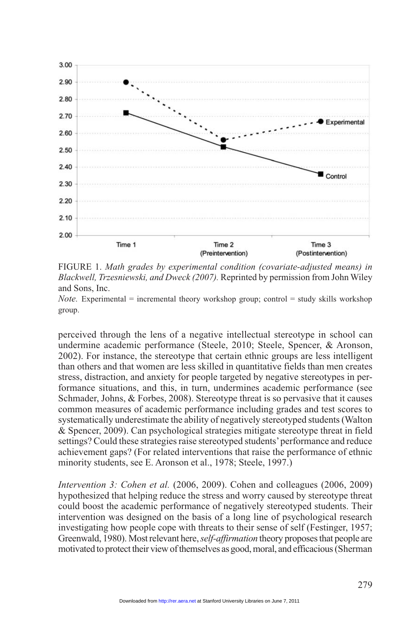

FIGURE 1. *Math grades by experimental condition (covariate-adjusted means) in Blackwell, Trzesniewski, and Dweck (2007).* Reprinted by permission from John Wiley and Sons, Inc.

*Note.* Experimental = incremental theory workshop group; control = study skills workshop group.

perceived through the lens of a negative intellectual stereotype in school can undermine academic performance (Steele, 2010; Steele, Spencer, & Aronson, 2002). For instance, the stereotype that certain ethnic groups are less intelligent than others and that women are less skilled in quantitative fields than men creates stress, distraction, and anxiety for people targeted by negative stereotypes in performance situations, and this, in turn, undermines academic performance (see Schmader, Johns, & Forbes, 2008). Stereotype threat is so pervasive that it causes common measures of academic performance including grades and test scores to systematically underestimate the ability of negatively stereotyped students (Walton & Spencer, 2009). Can psychological strategies mitigate stereotype threat in field settings? Could these strategies raise stereotyped students' performance and reduce achievement gaps? (For related interventions that raise the performance of ethnic minority students, see E. Aronson et al., 1978; Steele, 1997.)

*Intervention 3: Cohen et al.* (2006, 2009). Cohen and colleagues (2006, 2009) hypothesized that helping reduce the stress and worry caused by stereotype threat could boost the academic performance of negatively stereotyped students. Their intervention was designed on the basis of a long line of psychological research investigating how people cope with threats to their sense of self (Festinger, 1957; Greenwald, 1980). Most relevant here, *self-affirmation* theory proposes that people are motivated to protect their view of themselves as good, moral, and efficacious (Sherman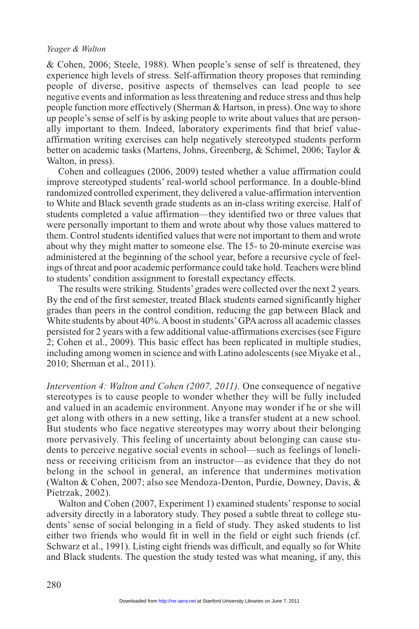& Cohen, 2006; Steele, 1988). When people's sense of self is threatened, they experience high levels of stress. Self-affirmation theory proposes that reminding people of diverse, positive aspects of themselves can lead people to see negative events and information as less threatening and reduce stress and thus help people function more effectively (Sherman & Hartson, in press). One way to shore up people's sense of self is by asking people to write about values that are personally important to them. Indeed, laboratory experiments find that brief valueaffirmation writing exercises can help negatively stereotyped students perform better on academic tasks (Martens, Johns, Greenberg, & Schimel, 2006; Taylor & Walton, in press).

Cohen and colleagues (2006, 2009) tested whether a value affirmation could improve stereotyped students' real-world school performance. In a double-blind randomized controlled experiment, they delivered a value-affirmation intervention to White and Black seventh grade students as an in-class writing exercise. Half of students completed a value affirmation—they identified two or three values that were personally important to them and wrote about why those values mattered to them. Control students identified values that were not important to them and wrote about why they might matter to someone else. The 15- to 20-minute exercise was administered at the beginning of the school year, before a recursive cycle of feelings of threat and poor academic performance could take hold. Teachers were blind to students' condition assignment to forestall expectancy effects.

The results were striking. Students' grades were collected over the next 2 years. By the end of the first semester, treated Black students earned significantly higher grades than peers in the control condition, reducing the gap between Black and White students by about 40%. A boost in students' GPA across all academic classes persisted for 2 years with a few additional value-affirmations exercises (see Figure 2; Cohen et al., 2009). This basic effect has been replicated in multiple studies, including among women in science and with Latino adolescents (see Miyake et al., 2010; Sherman et al., 2011).

*Intervention 4: Walton and Cohen (2007, 2011).* One consequence of negative stereotypes is to cause people to wonder whether they will be fully included and valued in an academic environment. Anyone may wonder if he or she will get along with others in a new setting, like a transfer student at a new school. But students who face negative stereotypes may worry about their belonging more pervasively. This feeling of uncertainty about belonging can cause students to perceive negative social events in school—such as feelings of loneliness or receiving criticism from an instructor—as evidence that they do not belong in the school in general, an inference that undermines motivation (Walton & Cohen, 2007; also see Mendoza-Denton, Purdie, Downey, Davis, & Pietrzak, 2002).

Walton and Cohen (2007, Experiment 1) examined students' response to social adversity directly in a laboratory study. They posed a subtle threat to college students' sense of social belonging in a field of study. They asked students to list either two friends who would fit in well in the field or eight such friends (cf. Schwarz et al., 1991). Listing eight friends was difficult, and equally so for White and Black students. The question the study tested was what meaning, if any, this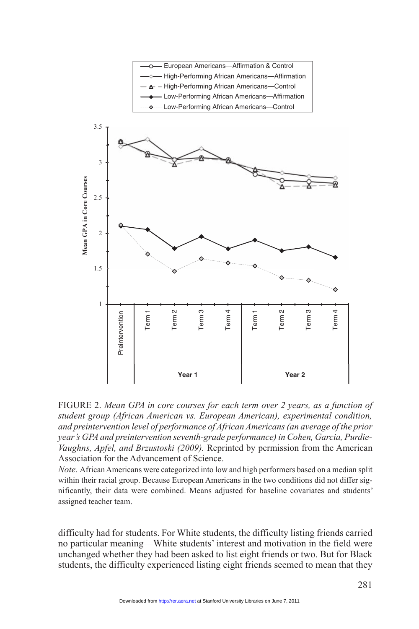

FIGURE 2. *Mean GPA in core courses for each term over 2 years, as a function of student group (African American vs. European American), experimental condition, and preintervention level of performance of African Americans (an average of the prior year's GPA and preintervention seventh-grade performance) in Cohen, Garcia, Purdie-Vaughns, Apfel, and Brzustoski (2009).* Reprinted by permission from the American Association for the Advancement of Science.

*Note.* African Americans were categorized into low and high performers based on a median split within their racial group. Because European Americans in the two conditions did not differ significantly, their data were combined. Means adjusted for baseline covariates and students' assigned teacher team.

difficulty had for students. For White students, the difficulty listing friends carried no particular meaning—White students' interest and motivation in the field were unchanged whether they had been asked to list eight friends or two. But for Black students, the difficulty experienced listing eight friends seemed to mean that they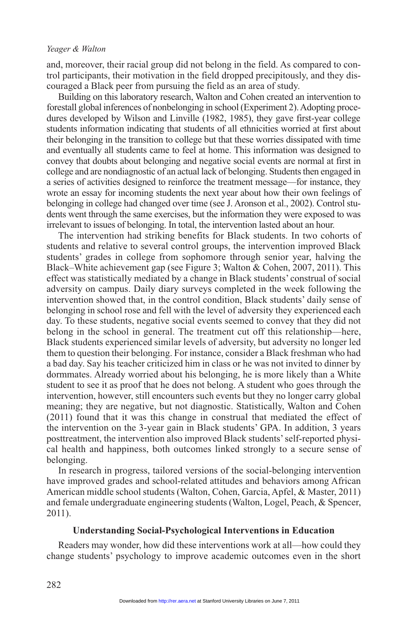and, moreover, their racial group did not belong in the field. As compared to control participants, their motivation in the field dropped precipitously, and they discouraged a Black peer from pursuing the field as an area of study.

Building on this laboratory research, Walton and Cohen created an intervention to forestall global inferences of nonbelonging in school (Experiment 2). Adopting procedures developed by Wilson and Linville (1982, 1985), they gave first-year college students information indicating that students of all ethnicities worried at first about their belonging in the transition to college but that these worries dissipated with time and eventually all students came to feel at home. This information was designed to convey that doubts about belonging and negative social events are normal at first in college and are nondiagnostic of an actual lack of belonging. Students then engaged in a series of activities designed to reinforce the treatment message—for instance, they wrote an essay for incoming students the next year about how their own feelings of belonging in college had changed over time (see J. Aronson et al., 2002). Control students went through the same exercises, but the information they were exposed to was irrelevant to issues of belonging. In total, the intervention lasted about an hour.

The intervention had striking benefits for Black students. In two cohorts of students and relative to several control groups, the intervention improved Black students' grades in college from sophomore through senior year, halving the Black–White achievement gap (see Figure 3; Walton & Cohen, 2007, 2011). This effect was statistically mediated by a change in Black students' construal of social adversity on campus. Daily diary surveys completed in the week following the intervention showed that, in the control condition, Black students' daily sense of belonging in school rose and fell with the level of adversity they experienced each day. To these students, negative social events seemed to convey that they did not belong in the school in general. The treatment cut off this relationship—here, Black students experienced similar levels of adversity, but adversity no longer led them to question their belonging. For instance, consider a Black freshman who had a bad day. Say his teacher criticized him in class or he was not invited to dinner by dormmates. Already worried about his belonging, he is more likely than a White student to see it as proof that he does not belong. A student who goes through the intervention, however, still encounters such events but they no longer carry global meaning; they are negative, but not diagnostic. Statistically, Walton and Cohen (2011) found that it was this change in construal that mediated the effect of the intervention on the 3-year gain in Black students' GPA. In addition, 3 years posttreatment, the intervention also improved Black students' self-reported physical health and happiness, both outcomes linked strongly to a secure sense of belonging.

In research in progress, tailored versions of the social-belonging intervention have improved grades and school-related attitudes and behaviors among African American middle school students (Walton, Cohen, Garcia, Apfel, & Master, 2011) and female undergraduate engineering students (Walton, Logel, Peach, & Spencer, 2011).

## **Understanding Social-Psychological Interventions in Education**

Readers may wonder, how did these interventions work at all—how could they change students' psychology to improve academic outcomes even in the short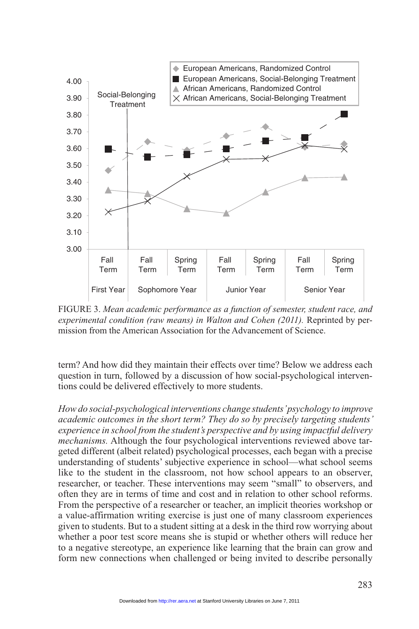

FIGURE 3. *Mean academic performance as a function of semester, student race, and experimental condition (raw means) in Walton and Cohen (2011).* Reprinted by permission from the American Association for the Advancement of Science.

term? And how did they maintain their effects over time? Below we address each question in turn, followed by a discussion of how social-psychological interventions could be delivered effectively to more students.

*How do social-psychological interventions change students' psychology to improve academic outcomes in the short term? They do so by precisely targeting students' experience in school from the student's perspective and by using impactful delivery mechanisms.* Although the four psychological interventions reviewed above targeted different (albeit related) psychological processes, each began with a precise understanding of students' subjective experience in school—what school seems like to the student in the classroom, not how school appears to an observer, researcher, or teacher. These interventions may seem "small" to observers, and often they are in terms of time and cost and in relation to other school reforms. From the perspective of a researcher or teacher, an implicit theories workshop or a value-affirmation writing exercise is just one of many classroom experiences given to students. But to a student sitting at a desk in the third row worrying about whether a poor test score means she is stupid or whether others will reduce her to a negative stereotype, an experience like learning that the brain can grow and form new connections when challenged or being invited to describe personally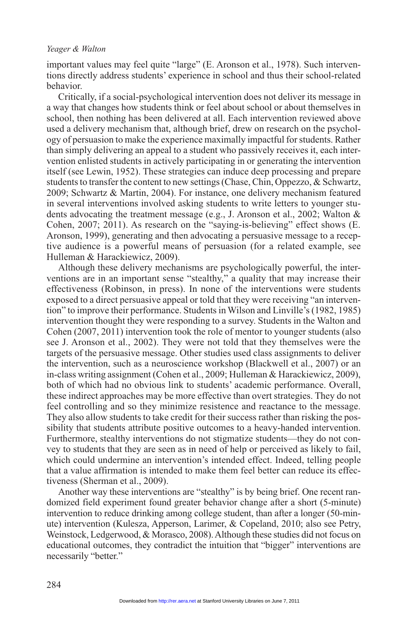important values may feel quite "large" (E. Aronson et al., 1978). Such interventions directly address students' experience in school and thus their school-related behavior.

Critically, if a social-psychological intervention does not deliver its message in a way that changes how students think or feel about school or about themselves in school, then nothing has been delivered at all. Each intervention reviewed above used a delivery mechanism that, although brief, drew on research on the psychology of persuasion to make the experience maximally impactful for students. Rather than simply delivering an appeal to a student who passively receives it, each intervention enlisted students in actively participating in or generating the intervention itself (see Lewin, 1952). These strategies can induce deep processing and prepare students to transfer the content to new settings (Chase, Chin, Oppezzo, & Schwartz, 2009; Schwartz & Martin, 2004). For instance, one delivery mechanism featured in several interventions involved asking students to write letters to younger students advocating the treatment message (e.g., J. Aronson et al., 2002; Walton & Cohen, 2007; 2011). As research on the "saying-is-believing" effect shows (E. Aronson, 1999), generating and then advocating a persuasive message to a receptive audience is a powerful means of persuasion (for a related example, see Hulleman & Harackiewicz, 2009).

Although these delivery mechanisms are psychologically powerful, the interventions are in an important sense "stealthy," a quality that may increase their effectiveness (Robinson, in press). In none of the interventions were students exposed to a direct persuasive appeal or told that they were receiving "an intervention" to improve their performance. Students in Wilson and Linville's (1982, 1985) intervention thought they were responding to a survey. Students in the Walton and Cohen (2007, 2011) intervention took the role of mentor to younger students (also see J. Aronson et al., 2002). They were not told that they themselves were the targets of the persuasive message. Other studies used class assignments to deliver the intervention, such as a neuroscience workshop (Blackwell et al., 2007) or an in-class writing assignment (Cohen et al., 2009; Hulleman & Harackiewicz, 2009), both of which had no obvious link to students' academic performance. Overall, these indirect approaches may be more effective than overt strategies. They do not feel controlling and so they minimize resistence and reactance to the message. They also allow students to take credit for their success rather than risking the possibility that students attribute positive outcomes to a heavy-handed intervention. Furthermore, stealthy interventions do not stigmatize students—they do not convey to students that they are seen as in need of help or perceived as likely to fail, which could undermine an intervention's intended effect. Indeed, telling people that a value affirmation is intended to make them feel better can reduce its effectiveness (Sherman et al., 2009).

Another way these interventions are "stealthy" is by being brief. One recent randomized field experiment found greater behavior change after a short (5-minute) intervention to reduce drinking among college student, than after a longer (50-minute) intervention (Kulesza, Apperson, Larimer, & Copeland, 2010; also see Petry, Weinstock, Ledgerwood, & Morasco, 2008). Although these studies did not focus on educational outcomes, they contradict the intuition that "bigger" interventions are necessarily "better."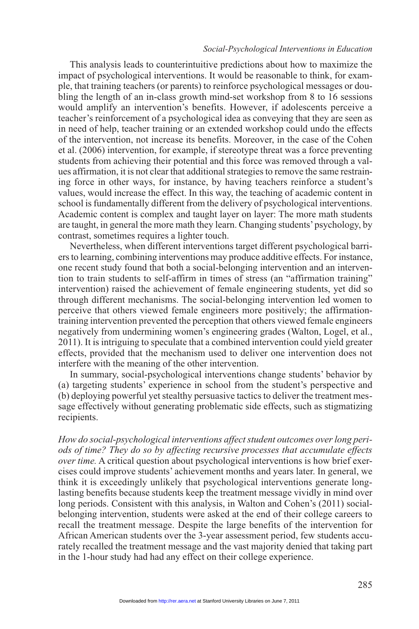#### *Social-Psychological Interventions in Education*

This analysis leads to counterintuitive predictions about how to maximize the impact of psychological interventions. It would be reasonable to think, for example, that training teachers (or parents) to reinforce psychological messages or doubling the length of an in-class growth mind-set workshop from 8 to 16 sessions would amplify an intervention's benefits. However, if adolescents perceive a teacher's reinforcement of a psychological idea as conveying that they are seen as in need of help, teacher training or an extended workshop could undo the effects of the intervention, not increase its benefits. Moreover, in the case of the Cohen et al. (2006) intervention, for example, if stereotype threat was a force preventing students from achieving their potential and this force was removed through a values affirmation, it is not clear that additional strategies to remove the same restraining force in other ways, for instance, by having teachers reinforce a student's values, would increase the effect. In this way, the teaching of academic content in school is fundamentally different from the delivery of psychological interventions. Academic content is complex and taught layer on layer: The more math students are taught, in general the more math they learn. Changing students' psychology, by contrast, sometimes requires a lighter touch.

Nevertheless, when different interventions target different psychological barriers to learning, combining interventions may produce additive effects. For instance, one recent study found that both a social-belonging intervention and an intervention to train students to self-affirm in times of stress (an "affirmation training" intervention) raised the achievement of female engineering students, yet did so through different mechanisms. The social-belonging intervention led women to perceive that others viewed female engineers more positively; the affirmationtraining intervention prevented the perception that others viewed female engineers negatively from undermining women's engineering grades (Walton, Logel, et al., 2011). It is intriguing to speculate that a combined intervention could yield greater effects, provided that the mechanism used to deliver one intervention does not interfere with the meaning of the other intervention.

In summary, social-psychological interventions change students' behavior by (a) targeting students' experience in school from the student's perspective and (b) deploying powerful yet stealthy persuasive tactics to deliver the treatment message effectively without generating problematic side effects, such as stigmatizing recipients.

*How do social-psychological interventions affect student outcomes over long periods of time? They do so by affecting recursive processes that accumulate effects over time.* A critical question about psychological interventions is how brief exercises could improve students' achievement months and years later. In general, we think it is exceedingly unlikely that psychological interventions generate longlasting benefits because students keep the treatment message vividly in mind over long periods. Consistent with this analysis, in Walton and Cohen's (2011) socialbelonging intervention, students were asked at the end of their college careers to recall the treatment message. Despite the large benefits of the intervention for African American students over the 3-year assessment period, few students accurately recalled the treatment message and the vast majority denied that taking part in the 1-hour study had had any effect on their college experience.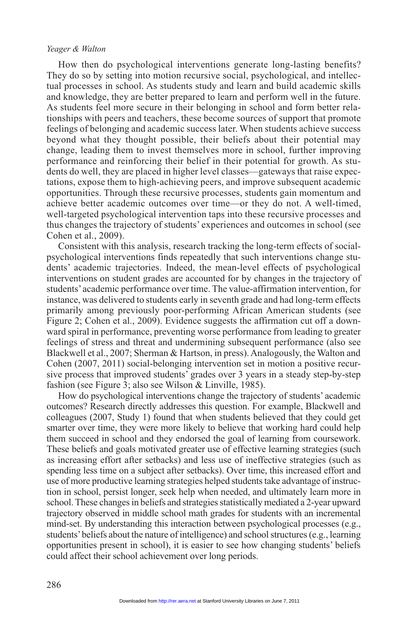How then do psychological interventions generate long-lasting benefits? They do so by setting into motion recursive social, psychological, and intellectual processes in school. As students study and learn and build academic skills and knowledge, they are better prepared to learn and perform well in the future. As students feel more secure in their belonging in school and form better relationships with peers and teachers, these become sources of support that promote feelings of belonging and academic success later. When students achieve success beyond what they thought possible, their beliefs about their potential may change, leading them to invest themselves more in school, further improving performance and reinforcing their belief in their potential for growth. As students do well, they are placed in higher level classes—gateways that raise expectations, expose them to high-achieving peers, and improve subsequent academic opportunities. Through these recursive processes, students gain momentum and achieve better academic outcomes over time—or they do not. A well-timed, well-targeted psychological intervention taps into these recursive processes and thus changes the trajectory of students' experiences and outcomes in school (see Cohen et al., 2009).

Consistent with this analysis, research tracking the long-term effects of socialpsychological interventions finds repeatedly that such interventions change students' academic trajectories. Indeed, the mean-level effects of psychological interventions on student grades are accounted for by changes in the trajectory of students' academic performance over time. The value-affirmation intervention, for instance, was delivered to students early in seventh grade and had long-term effects primarily among previously poor-performing African American students (see Figure 2; Cohen et al., 2009). Evidence suggests the affirmation cut off a downward spiral in performance, preventing worse performance from leading to greater feelings of stress and threat and undermining subsequent performance (also see Blackwell et al., 2007; Sherman & Hartson, in press). Analogously, the Walton and Cohen (2007, 2011) social-belonging intervention set in motion a positive recursive process that improved students' grades over 3 years in a steady step-by-step fashion (see Figure 3; also see Wilson & Linville, 1985).

How do psychological interventions change the trajectory of students' academic outcomes? Research directly addresses this question. For example, Blackwell and colleagues (2007, Study 1) found that when students believed that they could get smarter over time, they were more likely to believe that working hard could help them succeed in school and they endorsed the goal of learning from coursework. These beliefs and goals motivated greater use of effective learning strategies (such as increasing effort after setbacks) and less use of ineffective strategies (such as spending less time on a subject after setbacks). Over time, this increased effort and use of more productive learning strategies helped students take advantage of instruction in school, persist longer, seek help when needed, and ultimately learn more in school. These changes in beliefs and strategies statistically mediated a 2-year upward trajectory observed in middle school math grades for students with an incremental mind-set. By understanding this interaction between psychological processes (e.g., students' beliefs about the nature of intelligence) and school structures (e.g., learning opportunities present in school), it is easier to see how changing students' beliefs could affect their school achievement over long periods.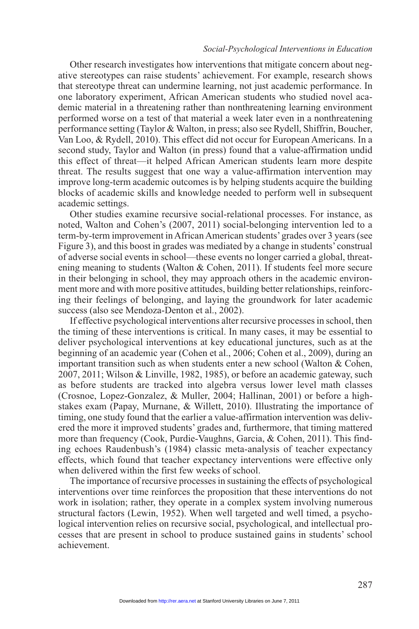#### *Social-Psychological Interventions in Education*

Other research investigates how interventions that mitigate concern about negative stereotypes can raise students' achievement. For example, research shows that stereotype threat can undermine learning, not just academic performance. In one laboratory experiment, African American students who studied novel academic material in a threatening rather than nonthreatening learning environment performed worse on a test of that material a week later even in a nonthreatening performance setting (Taylor & Walton, in press; also see Rydell, Shiffrin, Boucher, Van Loo, & Rydell, 2010). This effect did not occur for European Americans. In a second study, Taylor and Walton (in press) found that a value-affirmation undid this effect of threat—it helped African American students learn more despite threat. The results suggest that one way a value-affirmation intervention may improve long-term academic outcomes is by helping students acquire the building blocks of academic skills and knowledge needed to perform well in subsequent academic settings.

Other studies examine recursive social-relational processes. For instance, as noted, Walton and Cohen's (2007, 2011) social-belonging intervention led to a term-by-term improvement in African American students' grades over 3 years (see Figure 3), and this boost in grades was mediated by a change in students' construal of adverse social events in school—these events no longer carried a global, threatening meaning to students (Walton  $& Cohen, 2011$ ). If students feel more secure in their belonging in school, they may approach others in the academic environment more and with more positive attitudes, building better relationships, reinforcing their feelings of belonging, and laying the groundwork for later academic success (also see Mendoza-Denton et al., 2002).

If effective psychological interventions alter recursive processes in school, then the timing of these interventions is critical. In many cases, it may be essential to deliver psychological interventions at key educational junctures, such as at the beginning of an academic year (Cohen et al., 2006; Cohen et al., 2009), during an important transition such as when students enter a new school (Walton  $& Cohen,$ 2007, 2011; Wilson & Linville, 1982, 1985), or before an academic gateway, such as before students are tracked into algebra versus lower level math classes (Crosnoe, Lopez-Gonzalez, & Muller, 2004; Hallinan, 2001) or before a highstakes exam (Papay, Murnane, & Willett, 2010). Illustrating the importance of timing, one study found that the earlier a value-affirmation intervention was delivered the more it improved students' grades and, furthermore, that timing mattered more than frequency (Cook, Purdie-Vaughns, Garcia, & Cohen, 2011). This finding echoes Raudenbush's (1984) classic meta-analysis of teacher expectancy effects, which found that teacher expectancy interventions were effective only when delivered within the first few weeks of school.

The importance of recursive processes in sustaining the effects of psychological interventions over time reinforces the proposition that these interventions do not work in isolation; rather, they operate in a complex system involving numerous structural factors (Lewin, 1952). When well targeted and well timed, a psychological intervention relies on recursive social, psychological, and intellectual processes that are present in school to produce sustained gains in students' school achievement.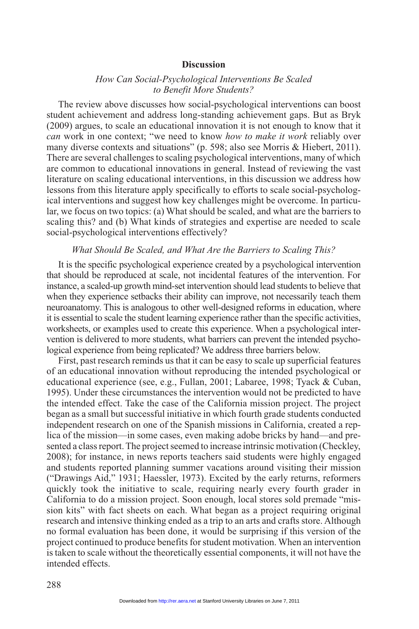#### **Discussion**

# *How Can Social-Psychological Interventions Be Scaled to Benefit More Students?*

The review above discusses how social-psychological interventions can boost student achievement and address long-standing achievement gaps. But as Bryk (2009) argues, to scale an educational innovation it is not enough to know that it *can* work in one context; "we need to know *how to make it work* reliably over many diverse contexts and situations" (p. 598; also see Morris & Hiebert, 2011). There are several challenges to scaling psychological interventions, many of which are common to educational innovations in general. Instead of reviewing the vast literature on scaling educational interventions, in this discussion we address how lessons from this literature apply specifically to efforts to scale social-psychological interventions and suggest how key challenges might be overcome. In particular, we focus on two topics: (a) What should be scaled, and what are the barriers to scaling this? and (b) What kinds of strategies and expertise are needed to scale social-psychological interventions effectively?

## *What Should Be Scaled, and What Are the Barriers to Scaling This?*

It is the specific psychological experience created by a psychological intervention that should be reproduced at scale, not incidental features of the intervention. For instance, a scaled-up growth mind-set intervention should lead students to believe that when they experience setbacks their ability can improve, not necessarily teach them neuroanatomy. This is analogous to other well-designed reforms in education, where it is essential to scale the student learning experience rather than the specific activities, worksheets, or examples used to create this experience. When a psychological intervention is delivered to more students, what barriers can prevent the intended psychological experience from being replicated? We address three barriers below.

First, past research reminds us that it can be easy to scale up superficial features of an educational innovation without reproducing the intended psychological or educational experience (see, e.g., Fullan, 2001; Labaree, 1998; Tyack & Cuban, 1995). Under these circumstances the intervention would not be predicted to have the intended effect. Take the case of the California mission project. The project began as a small but successful initiative in which fourth grade students conducted independent research on one of the Spanish missions in California, created a replica of the mission—in some cases, even making adobe bricks by hand—and presented a class report. The project seemed to increase intrinsic motivation (Checkley, 2008); for instance, in news reports teachers said students were highly engaged and students reported planning summer vacations around visiting their mission ("Drawings Aid," 1931; Haessler, 1973). Excited by the early returns, reformers quickly took the initiative to scale, requiring nearly every fourth grader in California to do a mission project. Soon enough, local stores sold premade "mission kits" with fact sheets on each. What began as a project requiring original research and intensive thinking ended as a trip to an arts and crafts store. Although no formal evaluation has been done, it would be surprising if this version of the project continued to produce benefits for student motivation. When an intervention is taken to scale without the theoretically essential components, it will not have the intended effects.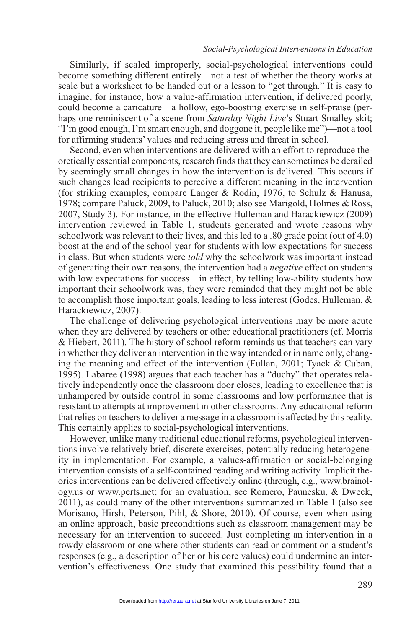Similarly, if scaled improperly, social-psychological interventions could become something different entirely—not a test of whether the theory works at scale but a worksheet to be handed out or a lesson to "get through." It is easy to imagine, for instance, how a value-affirmation intervention, if delivered poorly, could become a caricature—a hollow, ego-boosting exercise in self-praise (perhaps one reminiscent of a scene from *Saturday Night Live*'s Stuart Smalley skit; "I'm good enough, I'm smart enough, and doggone it, people like me")—not a tool for affirming students' values and reducing stress and threat in school.

Second, even when interventions are delivered with an effort to reproduce theoretically essential components, research finds that they can sometimes be derailed by seemingly small changes in how the intervention is delivered. This occurs if such changes lead recipients to perceive a different meaning in the intervention (for striking examples, compare Langer & Rodin, 1976, to Schulz & Hanusa, 1978; compare Paluck, 2009, to Paluck, 2010; also see Marigold, Holmes & Ross, 2007, Study 3). For instance, in the effective Hulleman and Harackiewicz (2009) intervention reviewed in Table 1, students generated and wrote reasons why schoolwork was relevant to their lives, and this led to a .80 grade point (out of 4.0) boost at the end of the school year for students with low expectations for success in class. But when students were *told* why the schoolwork was important instead of generating their own reasons, the intervention had a *negative* effect on students with low expectations for success—in effect, by telling low-ability students how important their schoolwork was, they were reminded that they might not be able to accomplish those important goals, leading to less interest (Godes, Hulleman, & Harackiewicz, 2007).

The challenge of delivering psychological interventions may be more acute when they are delivered by teachers or other educational practitioners (cf. Morris & Hiebert, 2011). The history of school reform reminds us that teachers can vary in whether they deliver an intervention in the way intended or in name only, changing the meaning and effect of the intervention (Fullan, 2001; Tyack & Cuban, 1995). Labaree (1998) argues that each teacher has a "duchy" that operates relatively independently once the classroom door closes, leading to excellence that is unhampered by outside control in some classrooms and low performance that is resistant to attempts at improvement in other classrooms. Any educational reform that relies on teachers to deliver a message in a classroom is affected by this reality. This certainly applies to social-psychological interventions.

However, unlike many traditional educational reforms, psychological interventions involve relatively brief, discrete exercises, potentially reducing heterogeneity in implementation. For example, a values-affirmation or social-belonging intervention consists of a self-contained reading and writing activity. Implicit theories interventions can be delivered effectively online (through, e.g., www.brainology.us or www.perts.net; for an evaluation, see Romero, Paunesku, & Dweck, 2011), as could many of the other interventions summarized in Table 1 (also see Morisano, Hirsh, Peterson, Pihl, & Shore, 2010). Of course, even when using an online approach, basic preconditions such as classroom management may be necessary for an intervention to succeed. Just completing an intervention in a rowdy classroom or one where other students can read or comment on a student's responses (e.g., a description of her or his core values) could undermine an intervention's effectiveness. One study that examined this possibility found that a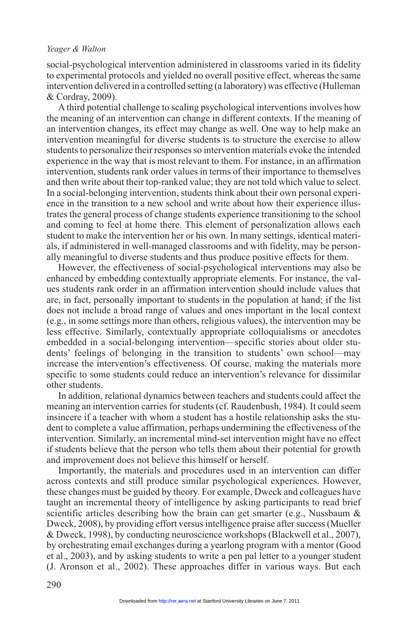social-psychological intervention administered in classrooms varied in its fidelity to experimental protocols and yielded no overall positive effect, whereas the same intervention delivered in a controlled setting (a laboratory) was effective (Hulleman & Cordray, 2009).

A third potential challenge to scaling psychological interventions involves how the meaning of an intervention can change in different contexts. If the meaning of an intervention changes, its effect may change as well. One way to help make an intervention meaningful for diverse students is to structure the exercise to allow students to personalize their responses so intervention materials evoke the intended experience in the way that is most relevant to them. For instance, in an affirmation intervention, students rank order values in terms of their importance to themselves and then write about their top-ranked value; they are not told which value to select. In a social-belonging intervention, students think about their own personal experience in the transition to a new school and write about how their experience illustrates the general process of change students experience transitioning to the school and coming to feel at home there. This element of personalization allows each student to make the intervention her or his own. In many settings, identical materials, if administered in well-managed classrooms and with fidelity, may be personally meaningful to diverse students and thus produce positive effects for them.

However, the effectiveness of social-psychological interventions may also be enhanced by embedding contextually appropriate elements. For instance, the values students rank order in an affirmation intervention should include values that are, in fact, personally important to students in the population at hand; if the list does not include a broad range of values and ones important in the local context (e.g., in some settings more than others, religious values), the intervention may be less effective. Similarly, contextually appropriate colloquialisms or anecdotes embedded in a social-belonging intervention—specific stories about older students' feelings of belonging in the transition to students' own school—may increase the intervention's effectiveness. Of course, making the materials more specific to some students could reduce an intervention's relevance for dissimilar other students.

In addition, relational dynamics between teachers and students could affect the meaning an intervention carries for students (cf. Raudenbush, 1984). It could seem insincere if a teacher with whom a student has a hostile relationship asks the student to complete a value affirmation, perhaps undermining the effectiveness of the intervention. Similarly, an incremental mind-set intervention might have no effect if students believe that the person who tells them about their potential for growth and improvement does not believe this himself or herself.

Importantly, the materials and procedures used in an intervention can differ across contexts and still produce similar psychological experiences. However, these changes must be guided by theory. For example, Dweck and colleagues have taught an incremental theory of intelligence by asking participants to read brief scientific articles describing how the brain can get smarter (e.g., Nussbaum & Dweck, 2008), by providing effort versus intelligence praise after success (Mueller & Dweck, 1998), by conducting neuroscience workshops (Blackwell et al., 2007), by orchestrating email exchanges during a yearlong program with a mentor (Good et al., 2003), and by asking students to write a pen pal letter to a younger student (J. Aronson et al., 2002). These approaches differ in various ways. But each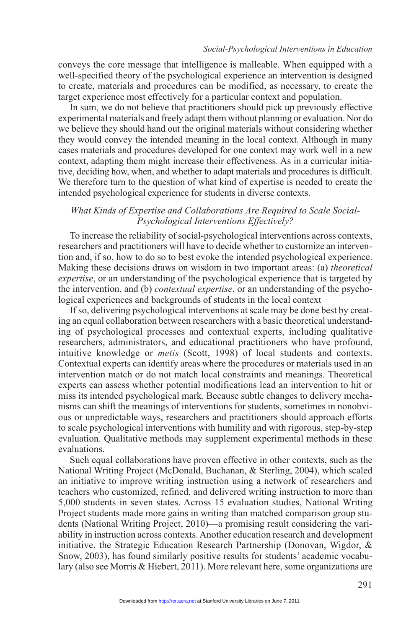conveys the core message that intelligence is malleable. When equipped with a well-specified theory of the psychological experience an intervention is designed to create, materials and procedures can be modified, as necessary, to create the target experience most effectively for a particular context and population.

In sum, we do not believe that practitioners should pick up previously effective experimental materials and freely adapt them without planning or evaluation. Nor do we believe they should hand out the original materials without considering whether they would convey the intended meaning in the local context. Although in many cases materials and procedures developed for one context may work well in a new context, adapting them might increase their effectiveness. As in a curricular initiative, deciding how, when, and whether to adapt materials and procedures is difficult. We therefore turn to the question of what kind of expertise is needed to create the intended psychological experience for students in diverse contexts.

# *What Kinds of Expertise and Collaborations Are Required to Scale Social-Psychological Interventions Effectively?*

To increase the reliability of social-psychological interventions across contexts, researchers and practitioners will have to decide whether to customize an intervention and, if so, how to do so to best evoke the intended psychological experience. Making these decisions draws on wisdom in two important areas: (a) *theoretical expertise*, or an understanding of the psychological experience that is targeted by the intervention, and (b) *contextual expertise*, or an understanding of the psychological experiences and backgrounds of students in the local context

If so, delivering psychological interventions at scale may be done best by creating an equal collaboration between researchers with a basic theoretical understanding of psychological processes and contextual experts, including qualitative researchers, administrators, and educational practitioners who have profound, intuitive knowledge or *metis* (Scott, 1998) of local students and contexts. Contextual experts can identify areas where the procedures or materials used in an intervention match or do not match local constraints and meanings. Theoretical experts can assess whether potential modifications lead an intervention to hit or miss its intended psychological mark. Because subtle changes to delivery mechanisms can shift the meanings of interventions for students, sometimes in nonobvious or unpredictable ways, researchers and practitioners should approach efforts to scale psychological interventions with humility and with rigorous, step-by-step evaluation. Qualitative methods may supplement experimental methods in these evaluations.

Such equal collaborations have proven effective in other contexts, such as the National Writing Project (McDonald, Buchanan, & Sterling, 2004), which scaled an initiative to improve writing instruction using a network of researchers and teachers who customized, refined, and delivered writing instruction to more than 5,000 students in seven states. Across 15 evaluation studies, National Writing Project students made more gains in writing than matched comparison group students (National Writing Project, 2010)—a promising result considering the variability in instruction across contexts. Another education research and development initiative, the Strategic Education Research Partnership (Donovan, Wigdor, & Snow, 2003), has found similarly positive results for students' academic vocabulary (also see Morris & Hiebert, 2011). More relevant here, some organizations are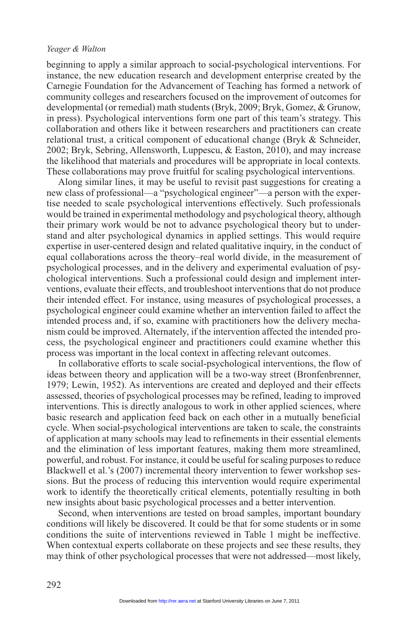beginning to apply a similar approach to social-psychological interventions. For instance, the new education research and development enterprise created by the Carnegie Foundation for the Advancement of Teaching has formed a network of community colleges and researchers focused on the improvement of outcomes for developmental (or remedial) math students (Bryk, 2009; Bryk, Gomez, & Grunow, in press). Psychological interventions form one part of this team's strategy. This collaboration and others like it between researchers and practitioners can create relational trust, a critical component of educational change (Bryk & Schneider, 2002; Bryk, Sebring, Allensworth, Luppescu, & Easton, 2010), and may increase the likelihood that materials and procedures will be appropriate in local contexts. These collaborations may prove fruitful for scaling psychological interventions.

Along similar lines, it may be useful to revisit past suggestions for creating a new class of professional—a "psychological engineer"—a person with the expertise needed to scale psychological interventions effectively. Such professionals would be trained in experimental methodology and psychological theory, although their primary work would be not to advance psychological theory but to understand and alter psychological dynamics in applied settings. This would require expertise in user-centered design and related qualitative inquiry, in the conduct of equal collaborations across the theory–real world divide, in the measurement of psychological processes, and in the delivery and experimental evaluation of psychological interventions. Such a professional could design and implement interventions, evaluate their effects, and troubleshoot interventions that do not produce their intended effect. For instance, using measures of psychological processes, a psychological engineer could examine whether an intervention failed to affect the intended process and, if so, examine with practitioners how the delivery mechanism could be improved. Alternately, if the intervention affected the intended process, the psychological engineer and practitioners could examine whether this process was important in the local context in affecting relevant outcomes.

In collaborative efforts to scale social-psychological interventions, the flow of ideas between theory and application will be a two-way street (Bronfenbrenner, 1979; Lewin, 1952). As interventions are created and deployed and their effects assessed, theories of psychological processes may be refined, leading to improved interventions. This is directly analogous to work in other applied sciences, where basic research and application feed back on each other in a mutually beneficial cycle. When social-psychological interventions are taken to scale, the constraints of application at many schools may lead to refinements in their essential elements and the elimination of less important features, making them more streamlined, powerful, and robust. For instance, it could be useful for scaling purposes to reduce Blackwell et al.'s (2007) incremental theory intervention to fewer workshop sessions. But the process of reducing this intervention would require experimental work to identify the theoretically critical elements, potentially resulting in both new insights about basic psychological processes and a better intervention.

Second, when interventions are tested on broad samples, important boundary conditions will likely be discovered. It could be that for some students or in some conditions the suite of interventions reviewed in Table 1 might be ineffective. When contextual experts collaborate on these projects and see these results, they may think of other psychological processes that were not addressed—most likely,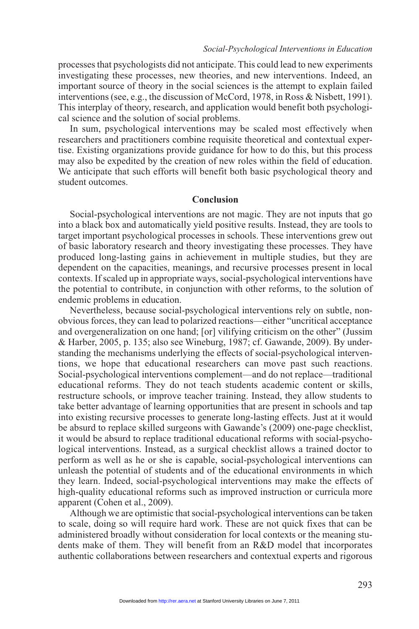processes that psychologists did not anticipate. This could lead to new experiments investigating these processes, new theories, and new interventions. Indeed, an important source of theory in the social sciences is the attempt to explain failed interventions (see, e.g., the discussion of McCord, 1978, in Ross & Nisbett, 1991). This interplay of theory, research, and application would benefit both psychological science and the solution of social problems.

In sum, psychological interventions may be scaled most effectively when researchers and practitioners combine requisite theoretical and contextual expertise. Existing organizations provide guidance for how to do this, but this process may also be expedited by the creation of new roles within the field of education. We anticipate that such efforts will benefit both basic psychological theory and student outcomes.

#### **Conclusion**

Social-psychological interventions are not magic. They are not inputs that go into a black box and automatically yield positive results. Instead, they are tools to target important psychological processes in schools. These interventions grew out of basic laboratory research and theory investigating these processes. They have produced long-lasting gains in achievement in multiple studies, but they are dependent on the capacities, meanings, and recursive processes present in local contexts. If scaled up in appropriate ways, social-psychological interventions have the potential to contribute, in conjunction with other reforms, to the solution of endemic problems in education.

Nevertheless, because social-psychological interventions rely on subtle, nonobvious forces, they can lead to polarized reactions—either "uncritical acceptance and overgeneralization on one hand; [or] vilifying criticism on the other" (Jussim & Harber, 2005, p. 135; also see Wineburg, 1987; cf. Gawande, 2009). By understanding the mechanisms underlying the effects of social-psychological interventions, we hope that educational researchers can move past such reactions. Social-psychological interventions complement—and do not replace—traditional educational reforms. They do not teach students academic content or skills, restructure schools, or improve teacher training. Instead, they allow students to take better advantage of learning opportunities that are present in schools and tap into existing recursive processes to generate long-lasting effects. Just at it would be absurd to replace skilled surgeons with Gawande's (2009) one-page checklist, it would be absurd to replace traditional educational reforms with social-psychological interventions. Instead, as a surgical checklist allows a trained doctor to perform as well as he or she is capable, social-psychological interventions can unleash the potential of students and of the educational environments in which they learn. Indeed, social-psychological interventions may make the effects of high-quality educational reforms such as improved instruction or curricula more apparent (Cohen et al., 2009).

Although we are optimistic that social-psychological interventions can be taken to scale, doing so will require hard work. These are not quick fixes that can be administered broadly without consideration for local contexts or the meaning students make of them. They will benefit from an R&D model that incorporates authentic collaborations between researchers and contextual experts and rigorous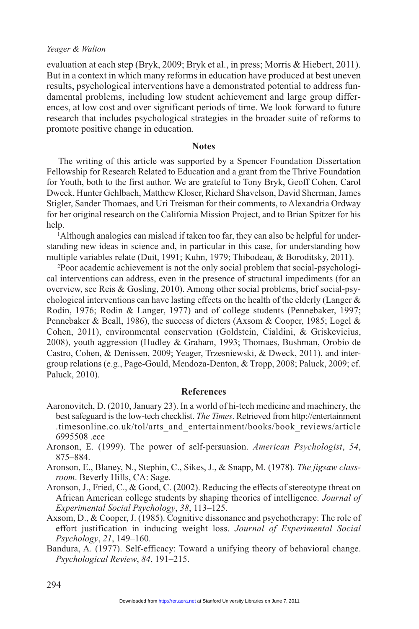evaluation at each step (Bryk, 2009; Bryk et al., in press; Morris & Hiebert, 2011). But in a context in which many reforms in education have produced at best uneven results, psychological interventions have a demonstrated potential to address fundamental problems, including low student achievement and large group differences, at low cost and over significant periods of time. We look forward to future research that includes psychological strategies in the broader suite of reforms to promote positive change in education.

#### **Notes**

 The writing of this article was supported by a Spencer Foundation Dissertation Fellowship for Research Related to Education and a grant from the Thrive Foundation for Youth, both to the first author. We are grateful to Tony Bryk, Geoff Cohen, Carol Dweck, Hunter Gehlbach, Matthew Kloser, Richard Shavelson, David Sherman, James Stigler, Sander Thomaes, and Uri Treisman for their comments, to Alexandria Ordway for her original research on the California Mission Project, and to Brian Spitzer for his help.

1Although analogies can mislead if taken too far, they can also be helpful for understanding new ideas in science and, in particular in this case, for understanding how multiple variables relate (Duit, 1991; Kuhn, 1979; Thibodeau, & Boroditsky, 2011).

2 Poor academic achievement is not the only social problem that social-psychological interventions can address, even in the presence of structural impediments (for an overview, see Reis & Gosling, 2010). Among other social problems, brief social-psychological interventions can have lasting effects on the health of the elderly (Langer  $\&$ Rodin, 1976; Rodin & Langer, 1977) and of college students (Pennebaker, 1997; Pennebaker & Beall, 1986), the success of dieters (Axsom & Cooper, 1985; Logel & Cohen, 2011), environmental conservation (Goldstein, Cialdini, & Griskevicius, 2008), youth aggression (Hudley & Graham, 1993; Thomaes, Bushman, Orobio de Castro, Cohen, & Denissen, 2009; Yeager, Trzesniewski, & Dweck, 2011), and intergroup relations (e.g., Page-Gould, Mendoza-Denton, & Tropp, 2008; Paluck, 2009; cf. Paluck, 2010).

#### **References**

- Aaronovitch, D. (2010, January 23). In a world of hi-tech medicine and machinery, the best safeguard is the low-tech checklist. *The Times*. Retrieved from http://entertainment .timesonline.co.uk/tol/arts\_and\_entertainment/books/book\_reviews/article 6995508 .ece
- Aronson, E. (1999). The power of self-persuasion. *American Psychologist*, *54*, 875–884.

Aronson, E., Blaney, N., Stephin, C., Sikes, J., & Snapp, M. (1978). *The jigsaw classroom*. Beverly Hills, CA: Sage.

Aronson, J., Fried, C., & Good, C. (2002). Reducing the effects of stereotype threat on African American college students by shaping theories of intelligence. *Journal of Experimental Social Psychology*, *38*, 113–125.

Axsom, D., & Cooper, J. (1985). Cognitive dissonance and psychotherapy: The role of effort justification in inducing weight loss. *Journal of Experimental Social Psychology*, *21*, 149–160.

Bandura, A. (1977). Self-efficacy: Toward a unifying theory of behavioral change. *Psychological Review*, *84*, 191–215.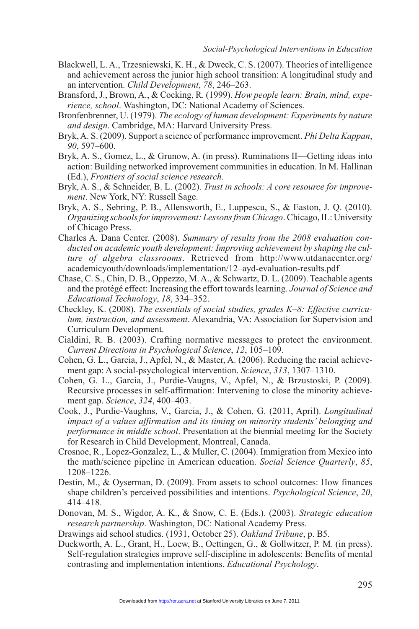- Blackwell, L. A., Trzesniewski, K. H., & Dweck, C. S. (2007). Theories of intelligence and achievement across the junior high school transition: A longitudinal study and an intervention. *Child Development*, *78*, 246–263.
- Bransford, J., Brown, A., & Cocking, R. (1999). *How people learn: Brain, mind, experience, school*. Washington, DC: National Academy of Sciences.
- Bronfenbrenner, U. (1979). *The ecology of human development: Experiments by nature and design*. Cambridge, MA: Harvard University Press.
- Bryk, A. S. (2009). Support a science of performance improvement. *Phi Delta Kappan*, *90*, 597–600.
- Bryk, A. S., Gomez, L., & Grunow, A. (in press). Ruminations II—Getting ideas into action: Building networked improvement communities in education. In M. Hallinan (Ed.), *Frontiers of social science research*.
- Bryk, A. S., & Schneider, B. L. (2002). *Trust in schools: A core resource for improvement*. New York, NY: Russell Sage.
- Bryk, A. S., Sebring, P. B., Allensworth, E., Luppescu, S., & Easton, J. Q. (2010). *Organizing schools for improvement: Lessons from Chicago*. Chicago, IL: University of Chicago Press.
- Charles A. Dana Center. (2008). *Summary of results from the 2008 evaluation conducted on academic youth development: Improving achievement by shaping the culture of algebra classrooms*. Retrieved from http://www.utdanacenter.org/ academicyouth/downloads/implementation/12–ayd-evaluation-results.pdf
- Chase, C. S., Chin, D. B., Oppezzo, M. A., & Schwartz, D. L. (2009). Teachable agents and the protégé effect: Increasing the effort towards learning. *Journal of Science and Educational Technology*, *18*, 334–352.
- Checkley, K. (2008). *The essentials of social studies, grades K–8: Effective curriculum, instruction, and assessment*. Alexandria, VA: Association for Supervision and Curriculum Development.
- Cialdini, R. B. (2003). Crafting normative messages to protect the environment. *Current Directions in Psychological Science*, *12*, 105–109.
- Cohen, G. L., Garcia, J., Apfel, N., & Master, A. (2006). Reducing the racial achievement gap: A social-psychological intervention. *Science*, *313*, 1307–1310.
- Cohen, G. L., Garcia, J., Purdie-Vaugns, V., Apfel, N., & Brzustoski, P. (2009). Recursive processes in self-affirmation: Intervening to close the minority achievement gap. *Science*, *324*, 400–403.
- Cook, J., Purdie-Vaughns, V., Garcia, J., & Cohen, G. (2011, April). *Longitudinal impact of a values affirmation and its timing on minority students' belonging and performance in middle school*. Presentation at the biennial meeting for the Society for Research in Child Development, Montreal, Canada.
- Crosnoe, R., Lopez-Gonzalez, L., & Muller, C. (2004). Immigration from Mexico into the math/science pipeline in American education. *Social Science Quarterly*, *85*, 1208–1226.
- Destin, M., & Oyserman, D. (2009). From assets to school outcomes: How finances shape children's perceived possibilities and intentions. *Psychological Science*, *20*, 414–418.
- Donovan, M. S., Wigdor, A. K., & Snow, C. E. (Eds.). (2003). *Strategic education research partnership*. Washington, DC: National Academy Press.
- Drawings aid school studies. (1931, October 25). *Oakland Tribune*, p. B5.
- Duckworth, A. L., Grant, H., Loew, B., Oettingen, G., & Gollwitzer, P. M. (in press). Self-regulation strategies improve self-discipline in adolescents: Benefits of mental contrasting and implementation intentions. *Educational Psychology*.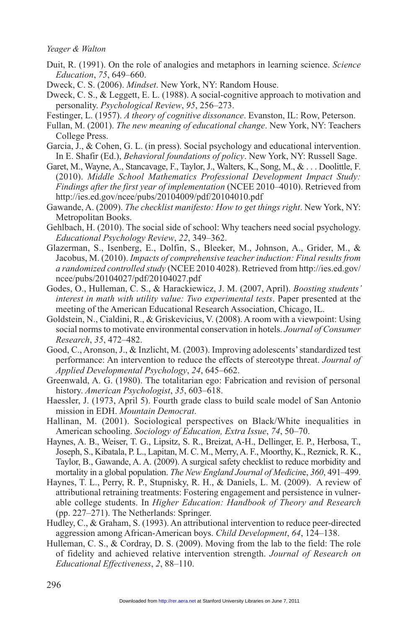- Duit, R. (1991). On the role of analogies and metaphors in learning science. *Science Education*, *75*, 649–660.
- Dweck, C. S. (2006). *Mindset*. New York, NY: Random House.
- Dweck, C. S., & Leggett, E. L. (1988). A social-cognitive approach to motivation and personality. *Psychological Review*, *95*, 256–273.
- Festinger, L. (1957). *A theory of cognitive dissonance*. Evanston, IL: Row, Peterson.
- Fullan, M. (2001). *The new meaning of educational change*. New York, NY: Teachers College Press.
- Garcia, J., & Cohen, G. L. (in press). Social psychology and educational intervention. In E. Shafir (Ed.), *Behavioral foundations of policy*. New York, NY: Russell Sage.
- Garet, M., Wayne, A., Stancavage, F., Taylor, J., Walters, K., Song, M., & . . . Doolittle, F. (2010). *Middle School Mathematics Professional Development Impact Study: Findings after the first year of implementation* (NCEE 2010–4010). Retrieved from http://ies.ed.gov/ncee/pubs/20104009/pdf/20104010.pdf
- Gawande, A. (2009). *The checklist manifesto: How to get things right*. New York, NY: Metropolitan Books.
- Gehlbach, H. (2010). The social side of school: Why teachers need social psychology. *Educational Psychology Review*, *22*, 349–362.
- Glazerman, S., Isenberg, E., Dolfin, S., Bleeker, M., Johnson, A., Grider, M., & Jacobus, M. (2010). *Impacts of comprehensive teacher induction: Final results from a randomized controlled study* (NCEE 2010 4028). Retrieved from http://ies.ed.gov/ ncee/pubs/20104027/pdf/20104027.pdf
- Godes, O., Hulleman, C. S., & Harackiewicz, J. M. (2007, April). *Boosting students' interest in math with utility value: Two experimental tests*. Paper presented at the meeting of the American Educational Research Association, Chicago, IL.
- Goldstein, N., Cialdini, R., & Griskevicius, V. (2008). A room with a viewpoint: Using social norms to motivate environmental conservation in hotels. *Journal of Consumer Research*, *35*, 472–482.
- Good, C., Aronson, J., & Inzlicht, M. (2003). Improving adolescents' standardized test performance: An intervention to reduce the effects of stereotype threat. *Journal of Applied Developmental Psychology*, *24*, 645–662.
- Greenwald, A. G. (1980). The totalitarian ego: Fabrication and revision of personal history. *American Psychologist*, *35*, 603–618.
- Haessler, J. (1973, April 5). Fourth grade class to build scale model of San Antonio mission in EDH. *Mountain Democrat*.
- Hallinan, M. (2001). Sociological perspectives on Black/White inequalities in American schooling. *Sociology of Education, Extra Issue*, *74*, 50–70.
- Haynes, A. B., Weiser, T. G., Lipsitz, S. R., Breizat, A-H., Dellinger, E. P., Herbosa, T., Joseph, S., Kibatala, P. L., Lapitan, M. C. M., Merry, A. F., Moorthy, K., Reznick, R. K., Taylor, B., Gawande, A. A. (2009). A surgical safety checklist to reduce morbidity and mortality in a global population. *The New England Journal of Medicin*e, *360*, 491–499.
- Haynes, T. L., Perry, R. P., Stupnisky, R. H., & Daniels, L. M. (2009). A review of attributional retraining treatments: Fostering engagement and persistence in vulnerable college students. In *Higher Education: Handbook of Theory and Research* (pp. 227–271). The Netherlands: Springer.
- Hudley, C., & Graham, S. (1993). An attributional intervention to reduce peer-directed aggression among African-American boys. *Child Development*, *64*, 124–138.
- Hulleman, C. S., & Cordray, D. S. (2009). Moving from the lab to the field: The role of fidelity and achieved relative intervention strength. *Journal of Research on Educational Effectiveness*, *2*, 88–110.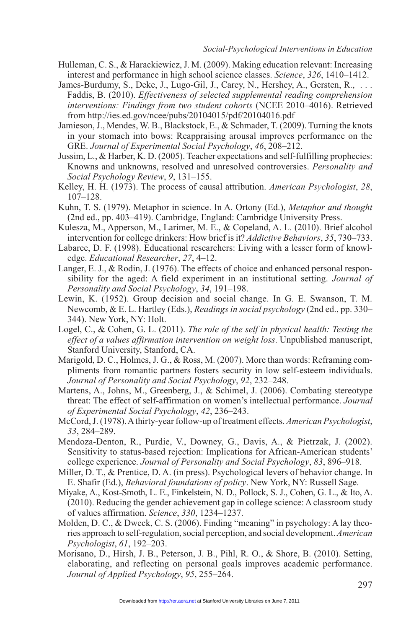- Hulleman, C. S., & Harackiewicz, J. M. (2009). Making education relevant: Increasing interest and performance in high school science classes. *Science*, *326*, 1410–1412.
- James-Burdumy, S., Deke, J., Lugo-Gil, J., Carey, N., Hershey, A., Gersten, R., . . . Faddis, B. (2010). *Effectiveness of selected supplemental reading comprehension interventions: Findings from two student cohorts* (NCEE 2010–4016). Retrieved from http://ies.ed.gov/ncee/pubs/20104015/pdf/20104016.pdf
- Jamieson, J., Mendes, W. B., Blackstock, E., & Schmader, T. (2009). Turning the knots in your stomach into bows: Reappraising arousal improves performance on the GRE. *Journal of Experimental Social Psychology*, *46*, 208–212.
- Jussim, L., & Harber, K. D. (2005). Teacher expectations and self-fulfilling prophecies: Knowns and unknowns, resolved and unresolved controversies. *Personality and Social Psychology Review*, *9*, 131–155.
- Kelley, H. H. (1973). The process of causal attribution. *American Psychologist*, *28*, 107–128.
- Kuhn, T. S. (1979). Metaphor in science. In A. Ortony (Ed.), *Metaphor and thought* (2nd ed., pp. 403–419). Cambridge, England: Cambridge University Press.
- Kulesza, M., Apperson, M., Larimer, M. E., & Copeland, A. L. (2010). Brief alcohol intervention for college drinkers: How brief is it? *Addictive Behaviors*, *35*, 730–733.
- Labaree, D. F. (1998). Educational researchers: Living with a lesser form of knowledge. *Educational Researcher*, *27*, 4–12.
- Langer, E. J., & Rodin, J. (1976). The effects of choice and enhanced personal responsibility for the aged: A field experiment in an institutional setting. *Journal of Personality and Social Psychology*, *34*, 191–198.
- Lewin, K. (1952). Group decision and social change. In G. E. Swanson, T. M. Newcomb, & E. L. Hartley (Eds.), *Readings in social psychology* (2nd ed., pp. 330– 344). New York, NY: Holt.
- Logel, C., & Cohen, G. L. (2011). *The role of the self in physical health: Testing the effect of a values affirmation intervention on weight loss*. Unpublished manuscript, Stanford University, Stanford, CA.
- Marigold, D. C., Holmes, J. G., & Ross, M. (2007). More than words: Reframing compliments from romantic partners fosters security in low self-esteem individuals. *Journal of Personality and Social Psychology*, *92*, 232–248.
- Martens, A., Johns, M., Greenberg, J., & Schimel, J. (2006). Combating stereotype threat: The effect of self-affirmation on women's intellectual performance. *Journal of Experimental Social Psychology*, *42*, 236–243.
- McCord, J. (1978). A thirty-year follow-up of treatment effects. *American Psychologist*, *33*, 284–289.
- Mendoza-Denton, R., Purdie, V., Downey, G., Davis, A., & Pietrzak, J. (2002). Sensitivity to status-based rejection: Implications for African-American students' college experience. *Journal of Personality and Social Psychology*, *83*, 896–918.
- Miller, D. T., & Prentice, D. A. (in press). Psychological levers of behavior change. In E. Shafir (Ed.), *Behavioral foundations of policy*. New York, NY: Russell Sage.
- Miyake, A., Kost-Smoth, L. E., Finkelstein, N. D., Pollock, S. J., Cohen, G. L., & Ito, A. (2010). Reducing the gender achievement gap in college science: A classroom study of values affirmation. *Science*, *330*, 1234–1237.
- Molden, D. C., & Dweck, C. S. (2006). Finding "meaning" in psychology: A lay theories approach to self-regulation, social perception, and social development. *American Psychologist*, *61*, 192–203.
- Morisano, D., Hirsh, J. B., Peterson, J. B., Pihl, R. O., & Shore, B. (2010). Setting, elaborating, and reflecting on personal goals improves academic performance. *Journal of Applied Psychology*, *95*, 255–264.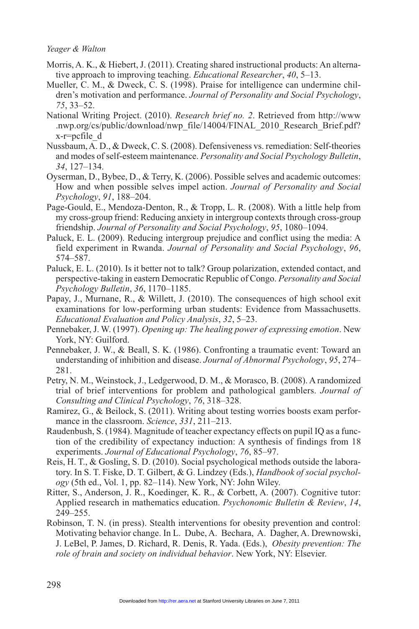- Morris, A. K., & Hiebert, J. (2011). Creating shared instructional products: An alternative approach to improving teaching. *Educational Researcher*, *40*, 5–13.
- Mueller, C. M., & Dweck, C. S. (1998). Praise for intelligence can undermine children's motivation and performance. *Journal of Personality and Social Psychology*, *75*, 33–52.
- National Writing Project. (2010). *Research brief no. 2*. Retrieved from http://www .nwp.org/cs/public/download/nwp\_file/14004/FINAL\_2010\_Research\_Brief.pdf? x-r=pcfile\_d
- Nussbaum, A. D., & Dweck, C. S. (2008). Defensiveness vs. remediation: Self-theories and modes of self-esteem maintenance. *Personality and Social Psychology Bulletin*, *34*, 127–134.
- Oyserman, D., Bybee, D., & Terry, K. (2006). Possible selves and academic outcomes: How and when possible selves impel action. *Journal of Personality and Social Psychology*, *91*, 188–204.
- Page-Gould, E., Mendoza-Denton, R., & Tropp, L. R. (2008). With a little help from my cross-group friend: Reducing anxiety in intergroup contexts through cross-group friendship. *Journal of Personality and Social Psychology*, *95*, 1080–1094.
- Paluck, E. L. (2009). Reducing intergroup prejudice and conflict using the media: A field experiment in Rwanda. *Journal of Personality and Social Psychology*, *96*, 574–587.
- Paluck, E. L. (2010). Is it better not to talk? Group polarization, extended contact, and perspective-taking in eastern Democratic Republic of Congo. *Personality and Social Psychology Bulletin*, *36*, 1170–1185.
- Papay, J., Murnane, R., & Willett, J. (2010). The consequences of high school exit examinations for low-performing urban students: Evidence from Massachusetts. *Educational Evaluation and Policy Analysis*, *32*, 5–23.
- Pennebaker, J. W. (1997). *Opening up: The healing power of expressing emotion*. New York, NY: Guilford.
- Pennebaker, J. W., & Beall, S. K. (1986). Confronting a traumatic event: Toward an understanding of inhibition and disease. *Journal of Abnormal Psychology*, *95*, 274– 281.
- Petry, N. M., Weinstock, J., Ledgerwood, D. M., & Morasco, B. (2008). A randomized trial of brief interventions for problem and pathological gamblers. *Journal of Consulting and Clinical Psychology*, *76*, 318–328.
- Ramirez, G., & Beilock, S. (2011). Writing about testing worries boosts exam performance in the classroom. *Science*, *331*, 211–213.
- Raudenbush, S. (1984). Magnitude of teacher expectancy effects on pupil IQ as a function of the credibility of expectancy induction: A synthesis of findings from 18 experiments. *Journal of Educational Psychology*, *76*, 85–97.
- Reis, H. T., & Gosling, S. D. (2010). Social psychological methods outside the laboratory. In S. T. Fiske, D. T. Gilbert, & G. Lindzey (Eds.), *Handbook of social psychology* (5th ed., Vol. 1, pp. 82–114). New York, NY: John Wiley.
- Ritter, S., Anderson, J. R., Koedinger, K. R., & Corbett, A. (2007). Cognitive tutor: Applied research in mathematics education. *Psychonomic Bulletin & Review*, *14*, 249–255.
- Robinson, T. N. (in press). Stealth interventions for obesity prevention and control: Motivating behavior change. In L. Dube, A. Bechara, A. Dagher, A. Drewnowski, J. LeBel, P. James, D. Richard, R. Denis, R. Yada. (Eds.), *Obesity prevention: The role of brain and society on individual behavior*. New York, NY: Elsevier.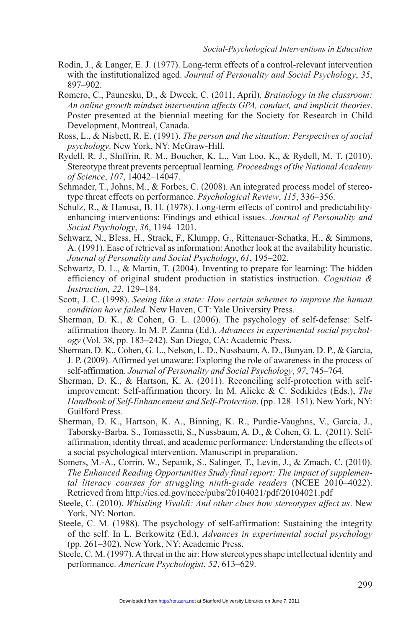- Rodin, J., & Langer, E. J. (1977). Long-term effects of a control-relevant intervention with the institutionalized aged. *Journal of Personality and Social Psychology*, *35*, 897–902.
- Romero, C., Paunesku, D., & Dweck, C. (2011, April). *Brainology in the classroom: An online growth mindset intervention affects GPA, conduct, and implicit theories*. Poster presented at the biennial meeting for the Society for Research in Child Development, Montreal, Canada.
- Ross, L., & Nisbett, R. E. (1991). *The person and the situation: Perspectives of social psychology*. New York, NY: McGraw-Hill.
- Rydell, R. J., Shiffrin, R. M., Boucher, K. L., Van Loo, K., & Rydell, M. T. (2010). Stereotype threat prevents perceptual learning. *Proceedings of the National Academy of Science*, *107*, 14042–14047.
- Schmader, T., Johns, M., & Forbes, C. (2008). An integrated process model of stereotype threat effects on performance. *Psychological Review*, *115*, 336–356.
- Schulz, R., & Hanusa, B. H. (1978). Long-term effects of control and predictabilityenhancing interventions: Findings and ethical issues. *Journal of Personality and Social Psychology*, *36*, 1194–1201.
- Schwarz, N., Bless, H., Strack, F., Klumpp, G., Rittenauer-Schatka, H., & Simmons, A. (1991). Ease of retrieval as information: Another look at the availability heuristic. *Journal of Personality and Social Psychology*, *61*, 195–202.
- Schwartz, D. L., & Martin, T. (2004). Inventing to prepare for learning: The hidden efficiency of original student production in statistics instruction. *Cognition & Instruction, 22*, 129–184.
- Scott, J. C. (1998). *Seeing like a state: How certain schemes to improve the human condition have failed*. New Haven, CT: Yale University Press.
- Sherman, D. K., & Cohen, G. L. (2006). The psychology of self-defense: Selfaffirmation theory. In M. P. Zanna (Ed.), *Advances in experimental social psychology* (Vol. 38, pp. 183–242). San Diego, CA: Academic Press.
- Sherman, D. K., Cohen, G. L., Nelson, L. D., Nussbaum, A. D., Bunyan, D. P., & Garcia, J. P. (2009). Affirmed yet unaware: Exploring the role of awareness in the process of self-affirmation. *Journal of Personality and Social Psychology*, *97*, 745–764.
- Sherman, D. K., & Hartson, K. A. (2011). Reconciling self-protection with selfimprovement: Self-affirmation theory. In M. Alicke & C. Sedikides (Eds.), *The Handbook of Self-Enhancement and Self-Protection*. (pp. 128–151). New York, NY: Guilford Press.
- Sherman, D. K., Hartson, K. A., Binning, K. R., Purdie-Vaughns, V., Garcia, J., Taborsky-Barba, S., Tomassetti, S., Nussbaum, A. D., & Cohen, G. L. (2011). Selfaffirmation, identity threat, and academic performance: Understanding the effects of a social psychological intervention. Manuscript in preparation.
- Somers, M.-A., Corrin, W., Sepanik, S., Salinger, T., Levin, J., & Zmach, C. (2010). *The Enhanced Reading Opportunities Study final report: The impact of supplemental literacy courses for struggling ninth-grade readers* (NCEE 2010–4022). Retrieved from http://ies.ed.gov/ncee/pubs/20104021/pdf/20104021.pdf
- Steele, C. (2010). *Whistling Vivaldi: And other clues how stereotypes affect us*. New York, NY: Norton.
- Steele, C. M. (1988). The psychology of self-affirmation: Sustaining the integrity of the self. In L. Berkowitz (Ed.), *Advances in experimental social psychology* (pp. 261–302). New York, NY: Academic Press.
- Steele, C. M. (1997). A threat in the air: How stereotypes shape intellectual identity and performance. *American Psychologist*, *52*, 613–629.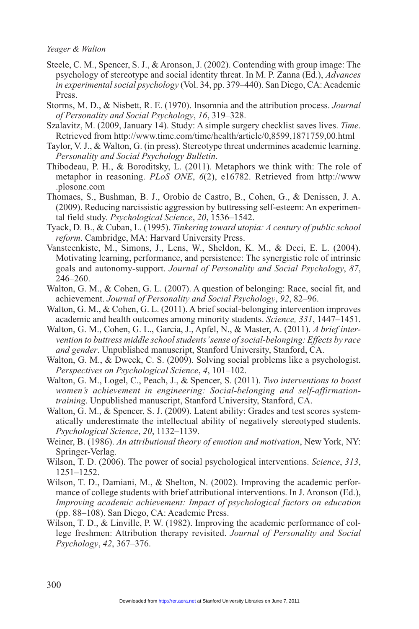- Steele, C. M., Spencer, S. J., & Aronson, J. (2002). Contending with group image: The psychology of stereotype and social identity threat. In M. P. Zanna (Ed.), *Advances in experimental social psychology* (Vol. 34, pp. 379–440). San Diego, CA: Academic Press.
- Storms, M. D., & Nisbett, R. E. (1970). Insomnia and the attribution process. *Journal of Personality and Social Psychology*, *16*, 319–328.
- Szalavitz, M. (2009, January 14). Study: A simple surgery checklist saves lives. *Time*. Retrieved from http://www.time.com/time/health/article/0,8599,1871759,00.html
- Taylor, V. J., & Walton, G. (in press). Stereotype threat undermines academic learning. *Personality and Social Psychology Bulletin*.
- Thibodeau, P. H., & Boroditsky, L. (2011). Metaphors we think with: The role of metaphor in reasoning. *PLoS ONE*, *6*(2), e16782. Retrieved from http://www .plosone.com
- Thomaes, S., Bushman, B. J., Orobio de Castro, B., Cohen, G., & Denissen, J. A. (2009). Reducing narcissistic aggression by buttressing self-esteem: An experimental field study. *Psychological Science*, *20*, 1536–1542.
- Tyack, D. B., & Cuban, L. (1995). *Tinkering toward utopia: A century of public school reform*. Cambridge, MA: Harvard University Press.
- Vansteenkiste, M., Simons, J., Lens, W., Sheldon, K. M., & Deci, E. L. (2004). Motivating learning, performance, and persistence: The synergistic role of intrinsic goals and autonomy-support. *Journal of Personality and Social Psychology*, *87*, 246–260.
- Walton, G. M., & Cohen, G. L. (2007). A question of belonging: Race, social fit, and achievement. *Journal of Personality and Social Psychology*, *92*, 82–96.
- Walton, G. M., & Cohen, G. L. (2011). A brief social-belonging intervention improves academic and health outcomes among minority students. *Science, 331*, 1447–1451.
- Walton, G. M., Cohen, G. L., Garcia, J., Apfel, N., & Master, A. (2011). *A brief intervention to buttress middle school students' sense of social-belonging: Effects by race and gender*. Unpublished manuscript, Stanford University, Stanford, CA.
- Walton, G. M., & Dweck, C. S. (2009). Solving social problems like a psychologist. *Perspectives on Psychological Science*, *4*, 101–102.
- Walton, G. M., Logel, C., Peach, J., & Spencer, S. (2011). *Two interventions to boost women's achievement in engineering: Social-belonging and self-affirmationtraining*. Unpublished manuscript, Stanford University, Stanford, CA.
- Walton, G. M., & Spencer, S. J. (2009). Latent ability: Grades and test scores systematically underestimate the intellectual ability of negatively stereotyped students. *Psychological Science*, *20*, 1132–1139.
- Weiner, B. (1986). *An attributional theory of emotion and motivation*, New York, NY: Springer-Verlag.
- Wilson, T. D. (2006). The power of social psychological interventions. *Science*, *313*, 1251–1252.
- Wilson, T. D., Damiani, M., & Shelton, N. (2002). Improving the academic performance of college students with brief attributional interventions. In J. Aronson (Ed.), *Improving academic achievement: Impact of psychological factors on education* (pp. 88–108). San Diego, CA: Academic Press.
- Wilson, T. D., & Linville, P. W. (1982). Improving the academic performance of college freshmen: Attribution therapy revisited. *Journal of Personality and Social Psychology*, *42*, 367–376.